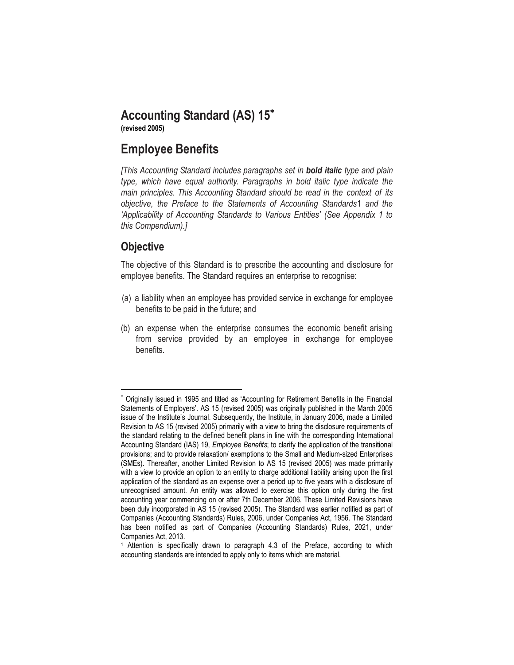# **Accounting Standard (AS) 15**

**(revised 2005)**

# **Employee Benefits**

*[This Accounting Standard includes paragraphs set in bold italic type and plain type, which have equal authority. Paragraphs in bold italic type indicate the main principles. This Accounting Standard should be read in the context of its objective, the Preface to the Statements of Accounting Standards*1 *and the 'Applicability of Accounting Standards to Various Entities' (See Appendix 1 to this Compendium).]* 

## **Objective**

 $\overline{a}$ 

The objective of this Standard is to prescribe the accounting and disclosure for employee benefits. The Standard requires an enterprise to recognise:

- (a) a liability when an employee has provided service in exchange for employee benefits to be paid in the future; and
- (b) an expense when the enterprise consumes the economic benefit arising from service provided by an employee in exchange for employee benefits.

<sup>\*</sup> Originally issued in 1995 and titled as 'Accounting for Retirement Benefits in the Financial Statements of Employers'. AS 15 (revised 2005) was originally published in the March 2005 issue of the Institute's Journal. Subsequently, the Institute, in January 2006, made a Limited Revision to AS 15 (revised 2005) primarily with a view to bring the disclosure requirements of the standard relating to the defined benefit plans in line with the corresponding International Accounting Standard (IAS) 19, *Employee Benefits*; to clarify the application of the transitional provisions; and to provide relaxation/ exemptions to the Small and Medium-sized Enterprises (SMEs). Thereafter, another Limited Revision to AS 15 (revised 2005) was made primarily with a view to provide an option to an entity to charge additional liability arising upon the first application of the standard as an expense over a period up to five years with a disclosure of unrecognised amount. An entity was allowed to exercise this option only during the first accounting year commencing on or after 7th December 2006. These Limited Revisions have been duly incorporated in AS 15 (revised 2005). The Standard was earlier notified as part of Companies (Accounting Standards) Rules, 2006, under Companies Act, 1956. The Standard has been notified as part of Companies (Accounting Standards) Rules, 2021, under Companies Act, 2013.

<sup>1</sup> Attention is specifically drawn to paragraph 4.3 of the Preface, according to which accounting standards are intended to apply only to items which are material.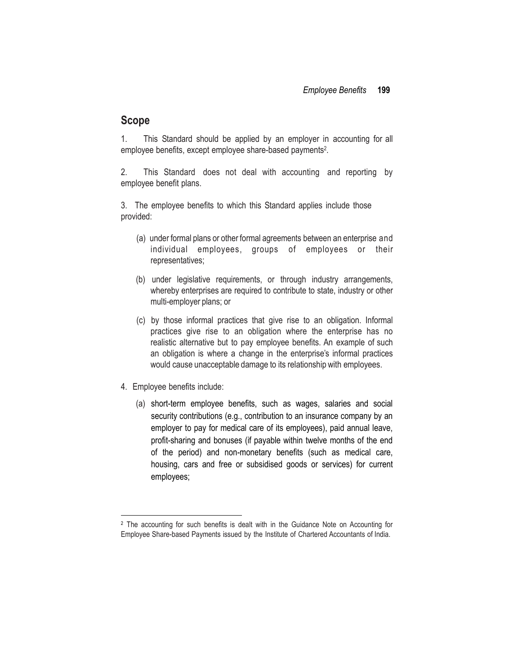### **Scope**

1. This Standard should be applied by an employer in accounting for all employee benefits, except employee share-based payments 2 .

2. This Standard does not deal with accounting and reporting by employee benefit plans.

3. The employee benefits to which this Standard applies include those provided:

- (a) under formal plans or other formal agreements between an enterprise and individual employees, groups of employees or their representatives;
- (b) under legislative requirements, or through industry arrangements, whereby enterprises are required to contribute to state, industry or other multi-employer plans; or
- (c) by those informal practices that give rise to an obligation. Informal practices give rise to an obligation where the enterprise has no realistic alternative but to pay employee benefits. An example of such an obligation is where a change in the enterprise's informal practices would cause unacceptable damage to its relationship with employees.
- 4. Employee benefits include:

 $\overline{\phantom{a}}$ 

(a) short-term employee benefits, such as wages, salaries and social security contributions (e.g., contribution to an insurance company by an employer to pay for medical care of its employees), paid annual leave, profit-sharing and bonuses (if payable within twelve months of the end of the period) and non-monetary benefits (such as medical care, housing, cars and free or subsidised goods or services) for current employees;

<sup>2</sup> The accounting for such benefits is dealt with in the Guidance Note on Accounting for Employee Share-based Payments issued by the Institute of Chartered Accountants of India.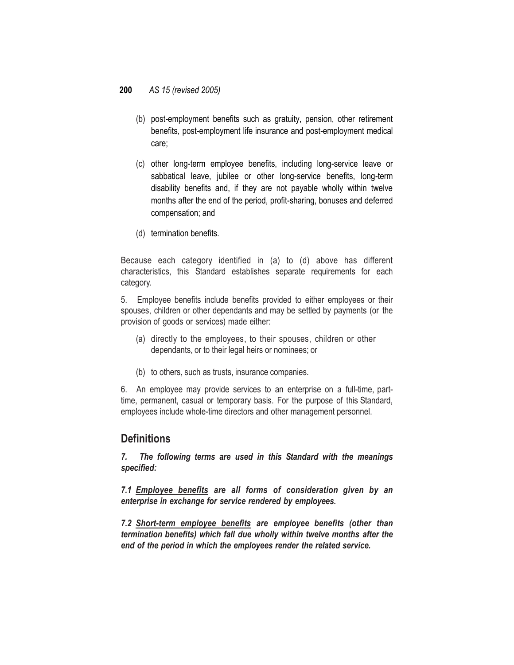- (b) post-employment benefits such as gratuity, pension, other retirement benefits, post-employment life insurance and post-employment medical care;
- (c) other long-term employee benefits, including long-service leave or sabbatical leave, jubilee or other long-service benefits, long-term disability benefits and, if they are not payable wholly within twelve months after the end of the period, profit-sharing, bonuses and deferred compensation; and
- (d) termination benefits.

Because each category identified in (a) to (d) above has different characteristics, this Standard establishes separate requirements for each category.

5. Employee benefits include benefits provided to either employees or their spouses, children or other dependants and may be settled by payments (or the provision of goods or services) made either:

- (a) directly to the employees, to their spouses, children or other dependants, or to their legal heirs or nominees; or
- (b) to others, such as trusts, insurance companies.

6. An employee may provide services to an enterprise on a full-time, parttime, permanent, casual or temporary basis. For the purpose of this Standard, employees include whole-time directors and other management personnel.

## **Definitions**

*7. The following terms are used in this Standard with the meanings specified:*

*7.1 Employee benefits are all forms of consideration given by an enterprise in exchange for service rendered by employees.*

*7.2 Short-term employee benefits are employee benefits (other than termination benefits) which fall due wholly within twelve months after the end of the period in which the employees render the related service.*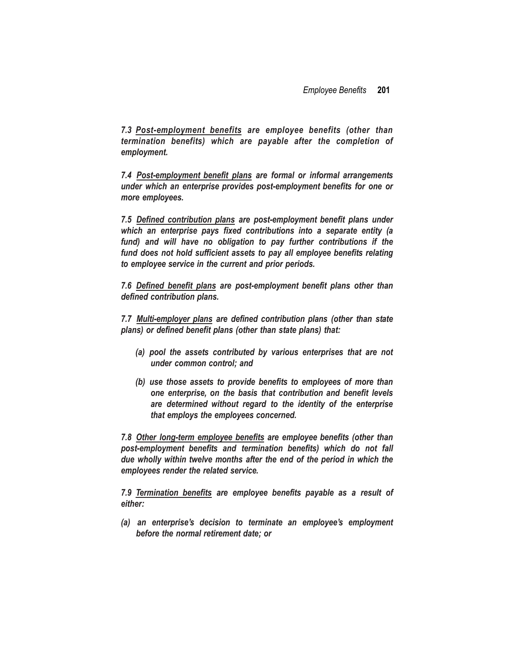*7.3 Post-employment benefits are employee benefits (other than termination benefits) which are payable after the completion of employment.*

*7.4 Post-employment benefit plans are formal or informal arrangements under which an enterprise provides post-employment benefits for one or more employees.*

*7.5 Defined contribution plans are post-employment benefit plans under which an enterprise pays fixed contributions into a separate entity (a fund) and will have no obligation to pay further contributions if the fund does not hold sufficient assets to pay all employee benefits relating to employee service in the current and prior periods.*

*7.6 Defined benefit plans are post-employment benefit plans other than defined contribution plans.*

*7.7 Multi-employer plans are defined contribution plans (other than state plans) or defined benefit plans (other than state plans) that:*

- *(a) pool the assets contributed by various enterprises that are not under common control; and*
- *(b) use those assets to provide benefits to employees of more than one enterprise, on the basis that contribution and benefit levels are determined without regard to the identity of the enterprise that employs the employees concerned.*

*7.8 Other long-term employee benefits are employee benefits (other than post-employment benefits and termination benefits) which do not fall due wholly within twelve months after the end of the period in which the employees render the related service.*

*7.9 Termination benefits are employee benefits payable as a result of either:*

*(a) an enterprise's decision to terminate an employee's employment before the normal retirement date; or*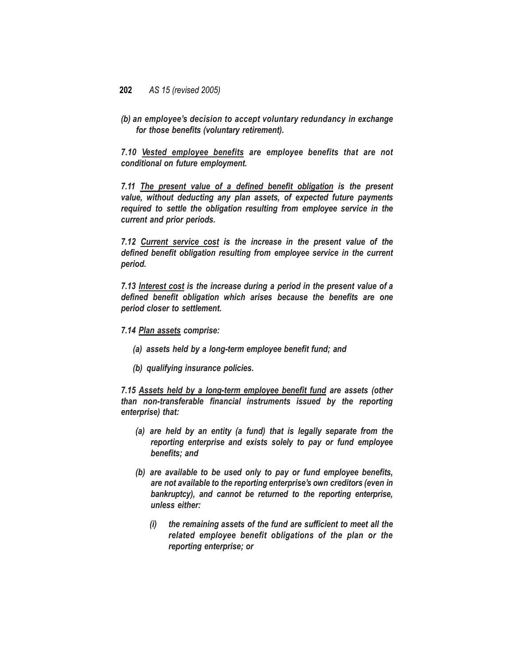*(b) an employee's decision to accept voluntary redundancy in exchange for those benefits (voluntary retirement).*

*7.10 Vested employee benefits are employee benefits that are not conditional on future employment.*

*7.11 The present value of a defined benefit obligation is the present value, without deducting any plan assets, of expected future payments required to settle the obligation resulting from employee service in the current and prior periods.*

*7.12 Current service cost is the increase in the present value of the defined benefit obligation resulting from employee service in the current period.*

*7.13 Interest cost is the increase during a period in the present value of a defined benefit obligation which arises because the benefits are one period closer to settlement.*

#### *7.14 Plan assets comprise:*

- *(a) assets held by a long-term employee benefit fund; and*
- *(b) qualifying insurance policies.*

*7.15 Assets held by a long-term employee benefit fund are assets (other than non-transferable financial instruments issued by the reporting enterprise) that:*

- *(a) are held by an entity (a fund) that is legally separate from the reporting enterprise and exists solely to pay or fund employee benefits; and*
- *(b) are available to be used only to pay or fund employee benefits, are not available to the reporting enterprise's own creditors (even in bankruptcy), and cannot be returned to the reporting enterprise, unless either:*
	- *(i) the remaining assets of the fund are sufficient to meet all the related employee benefit obligations of the plan or the reporting enterprise; or*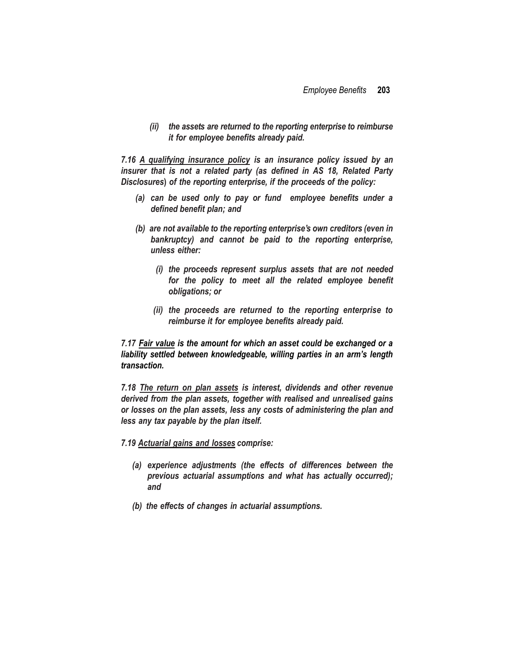*(ii) the assets are returned to the reporting enterprise to reimburse it for employee benefits already paid.*

*7.16 A qualifying insurance policy is an insurance policy issued by an insurer that is not a related party (as defined in AS 18, Related Party Disclosures***)** *of the reporting enterprise, if the proceeds of the policy:*

- *(a) can be used only to pay or fund employee benefits under a defined benefit plan; and*
- *(b) are not available to the reporting enterprise's own creditors (even in bankruptcy) and cannot be paid to the reporting enterprise, unless either:*
	- *(i) the proceeds represent surplus assets that are not needed for the policy to meet all the related employee benefit obligations; or*
	- *(ii) the proceeds are returned to the reporting enterprise to reimburse it for employee benefits already paid.*

*7.17 Fair value is the amount for which an asset could be exchanged or a liability settled between knowledgeable, willing parties in an arm's length transaction.*

*7.18 The return on plan assets is interest, dividends and other revenue derived from the plan assets, together with realised and unrealised gains or losses on the plan assets, less any costs of administering the plan and less any tax payable by the plan itself.*

*7.19 Actuarial gains and losses comprise:*

- *(a) experience adjustments (the effects of differences between the previous actuarial assumptions and what has actually occurred); and*
- *(b) the effects of changes in actuarial assumptions.*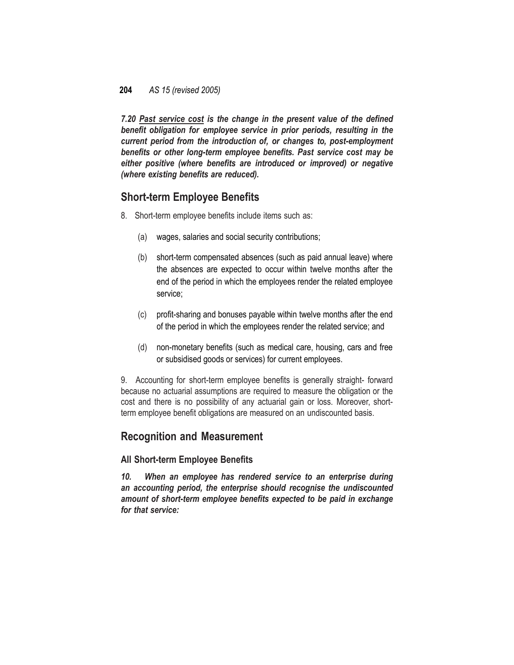*7.20 Past service cost is the change in the present value of the defined benefit obligation for employee service in prior periods, resulting in the current period from the introduction of, or changes to, post-employment benefits or other long-term employee benefits. Past service cost may be either positive (where benefits are introduced or improved) or negative (where existing benefits are reduced).*

## **Short-term Employee Benefits**

- 8. Short-term employee benefits include items such as:
	- (a) wages, salaries and social security contributions;
	- (b) short-term compensated absences (such as paid annual leave) where the absences are expected to occur within twelve months after the end of the period in which the employees render the related employee service;
	- (c) profit-sharing and bonuses payable within twelve months after the end of the period in which the employees render the related service; and
	- (d) non-monetary benefits (such as medical care, housing, cars and free or subsidised goods or services) for current employees.

9. Accounting for short-term employee benefits is generally straight- forward because no actuarial assumptions are required to measure the obligation or the cost and there is no possibility of any actuarial gain or loss. Moreover, shortterm employee benefit obligations are measured on an undiscounted basis.

## **Recognition and Measurement**

### **All Short-term Employee Benefits**

*10. When an employee has rendered service to an enterprise during an accounting period, the enterprise should recognise the undiscounted amount of short-term employee benefits expected to be paid in exchange for that service:*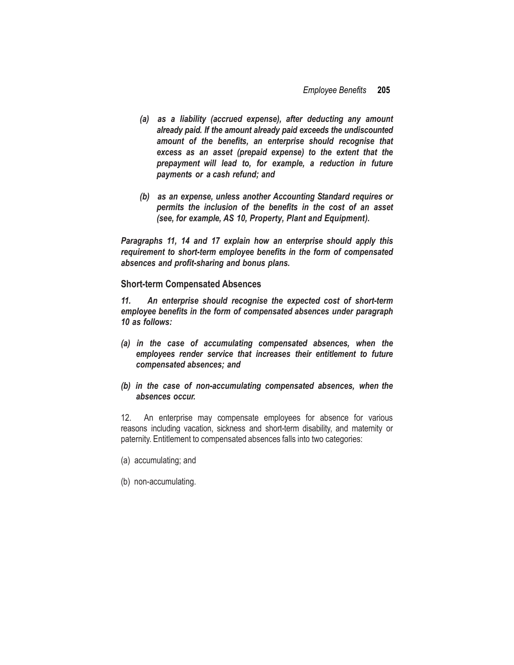- *(a) as a liability (accrued expense), after deducting any amount already paid. If the amount already paid exceeds the undiscounted amount of the benefits, an enterprise should recognise that excess as an asset (prepaid expense) to the extent that the prepayment will lead to, for example, a reduction in future payments or a cash refund; and*
- *(b) as an expense, unless another Accounting Standard requires or permits the inclusion of the benefits in the cost of an asset (see, for example, AS 10, Property, Plant and Equipment).*

*Paragraphs 11, 14 and 17 explain how an enterprise should apply this requirement to short-term employee benefits in the form of compensated absences and profit-sharing and bonus plans.*

**Short-term Compensated Absences**

*11. An enterprise should recognise the expected cost of short-term employee benefits in the form of compensated absences under paragraph 10 as follows:*

- *(a) in the case of accumulating compensated absences, when the employees render service that increases their entitlement to future compensated absences; and*
- *(b) in the case of non-accumulating compensated absences, when the absences occur.*

12. An enterprise may compensate employees for absence for various reasons including vacation, sickness and short-term disability, and maternity or paternity. Entitlement to compensated absences falls into two categories:

- (a) accumulating; and
- (b) non-accumulating.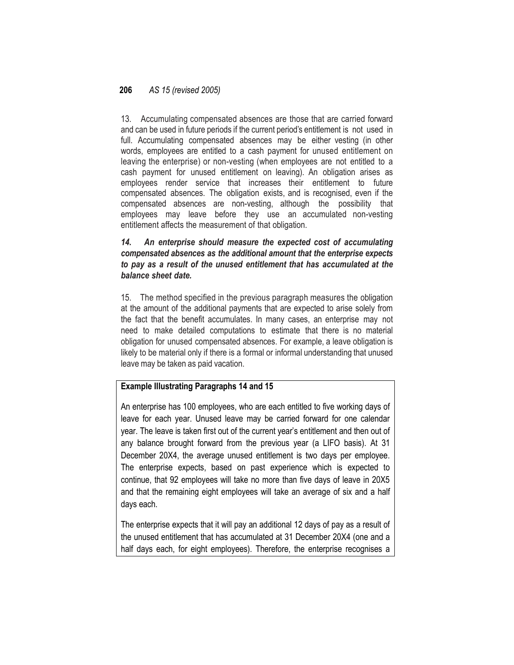13. Accumulating compensated absences are those that are carried forward and can be used in future periods if the current period's entitlement is not used in full. Accumulating compensated absences may be either vesting (in other words, employees are entitled to a cash payment for unused entitlement on leaving the enterprise) or non-vesting (when employees are not entitled to a cash payment for unused entitlement on leaving). An obligation arises as employees render service that increases their entitlement to future compensated absences. The obligation exists, and is recognised, even if the compensated absences are non-vesting, although the possibility that employees may leave before they use an accumulated non-vesting entitlement affects the measurement of that obligation.

### *14. An enterprise should measure the expected cost of accumulating compensated absences as the additional amount that the enterprise expects to pay as a result of the unused entitlement that has accumulated at the balance sheet date.*

15. The method specified in the previous paragraph measures the obligation at the amount of the additional payments that are expected to arise solely from the fact that the benefit accumulates. In many cases, an enterprise may not need to make detailed computations to estimate that there is no material obligation for unused compensated absences. For example, a leave obligation is likely to be material only if there is a formal or informal understanding that unused leave may be taken as paid vacation.

### **Example Illustrating Paragraphs 14 and 15**

An enterprise has 100 employees, who are each entitled to five working days of leave for each year. Unused leave may be carried forward for one calendar year. The leave is taken first out of the current year's entitlement and then out of any balance brought forward from the previous year (a LIFO basis). At 31 December 20X4, the average unused entitlement is two days per employee. The enterprise expects, based on past experience which is expected to continue, that 92 employees will take no more than five days of leave in 20X5 and that the remaining eight employees will take an average of six and a half days each.

The enterprise expects that it will pay an additional 12 days of pay as a result of the unused entitlement that has accumulated at 31 December 20X4 (one and a half days each, for eight employees). Therefore, the enterprise recognises a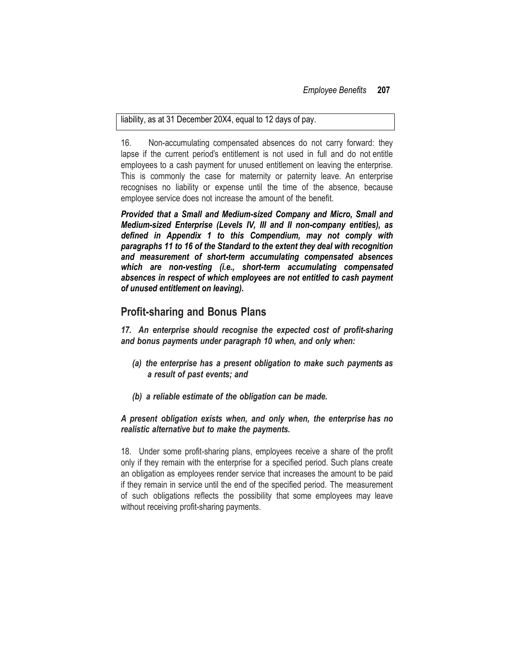#### liability, as at 31 December 20X4, equal to 12 days of pay.

16. Non-accumulating compensated absences do not carry forward: they lapse if the current period's entitlement is not used in full and do not entitle employees to a cash payment for unused entitlement on leaving the enterprise. This is commonly the case for maternity or paternity leave. An enterprise recognises no liability or expense until the time of the absence, because employee service does not increase the amount of the benefit.

*Provided that a Small and Medium-sized Company and Micro, Small and Medium-sized Enterprise (Levels IV, III and II non-company entities), as defined in Appendix 1 to this Compendium, may not comply with paragraphs 11 to 16 of the Standard to the extent they deal with recognition and measurement of short-term accumulating compensated absences which are non-vesting (i.e., short-term accumulating compensated absences in respect of which employees are not entitled to cash payment of unused entitlement on leaving).*

### **Profit-sharing and Bonus Plans**

*17. An enterprise should recognise the expected cost of profit-sharing and bonus payments under paragraph 10 when, and only when:*

- *(a) the enterprise has a present obligation to make such payments as a result of past events; and*
- *(b) a reliable estimate of the obligation can be made.*

### *A present obligation exists when, and only when, the enterprise has no realistic alternative but to make the payments.*

18. Under some profit-sharing plans, employees receive a share of the profit only if they remain with the enterprise for a specified period. Such plans create an obligation as employees render service that increases the amount to be paid if they remain in service until the end of the specified period. The measurement of such obligations reflects the possibility that some employees may leave without receiving profit-sharing payments.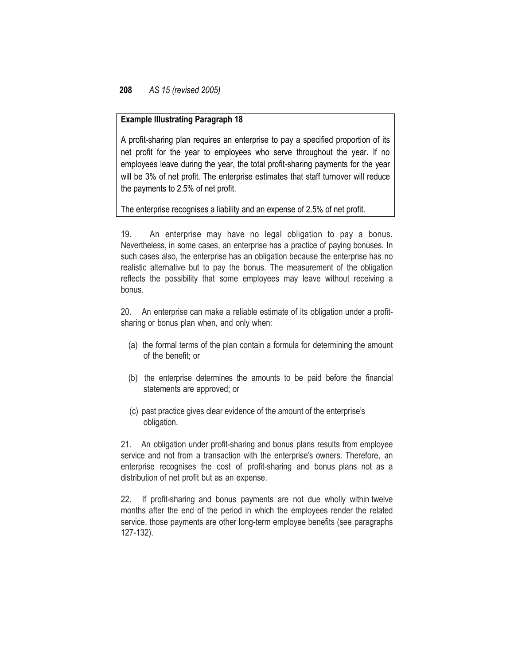### **Example Illustrating Paragraph 18**

A profit-sharing plan requires an enterprise to pay a specified proportion of its net profit for the year to employees who serve throughout the year. If no employees leave during the year, the total profit-sharing payments for the year will be 3% of net profit. The enterprise estimates that staff turnover will reduce the payments to 2.5% of net profit.

The enterprise recognises a liability and an expense of 2.5% of net profit.

19. An enterprise may have no legal obligation to pay a bonus. Nevertheless, in some cases, an enterprise has a practice of paying bonuses. In such cases also, the enterprise has an obligation because the enterprise has no realistic alternative but to pay the bonus. The measurement of the obligation reflects the possibility that some employees may leave without receiving a bonus.

20. An enterprise can make a reliable estimate of its obligation under a profitsharing or bonus plan when, and only when:

- (a) the formal terms of the plan contain a formula for determining the amount of the benefit; or
- (b) the enterprise determines the amounts to be paid before the financial statements are approved; or
- (c) past practice gives clear evidence of the amount of the enterprise's obligation.

21. An obligation under profit-sharing and bonus plans results from employee service and not from a transaction with the enterprise's owners. Therefore, an enterprise recognises the cost of profit-sharing and bonus plans not as a distribution of net profit but as an expense.

22. If profit-sharing and bonus payments are not due wholly within twelve months after the end of the period in which the employees render the related service, those payments are other long-term employee benefits (see paragraphs 127-132).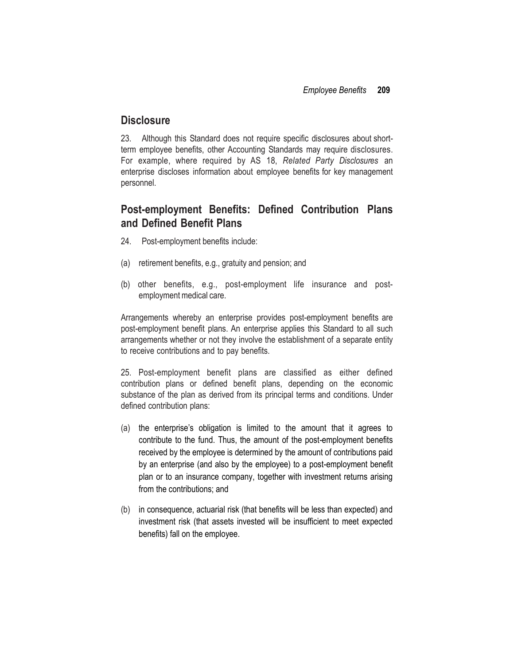### **Disclosure**

23. Although this Standard does not require specific disclosures about shortterm employee benefits, other Accounting Standards may require disclosures. For example, where required by AS 18, *Related Party Disclosures* an enterprise discloses information about employee benefits for key management personnel.

## **Post-employment Benefits: Defined Contribution Plans and Defined Benefit Plans**

- 24. Post-employment benefits include:
- (a) retirement benefits, e.g., gratuity and pension; and
- (b) other benefits, e.g., post-employment life insurance and postemployment medical care.

Arrangements whereby an enterprise provides post-employment benefits are post-employment benefit plans. An enterprise applies this Standard to all such arrangements whether or not they involve the establishment of a separate entity to receive contributions and to pay benefits.

25. Post-employment benefit plans are classified as either defined contribution plans or defined benefit plans, depending on the economic substance of the plan as derived from its principal terms and conditions. Under defined contribution plans:

- (a) the enterprise's obligation is limited to the amount that it agrees to contribute to the fund. Thus, the amount of the post-employment benefits received by the employee is determined by the amount of contributions paid by an enterprise (and also by the employee) to a post-employment benefit plan or to an insurance company, together with investment returns arising from the contributions; and
- (b) in consequence, actuarial risk (that benefits will be less than expected) and investment risk (that assets invested will be insufficient to meet expected benefits) fall on the employee.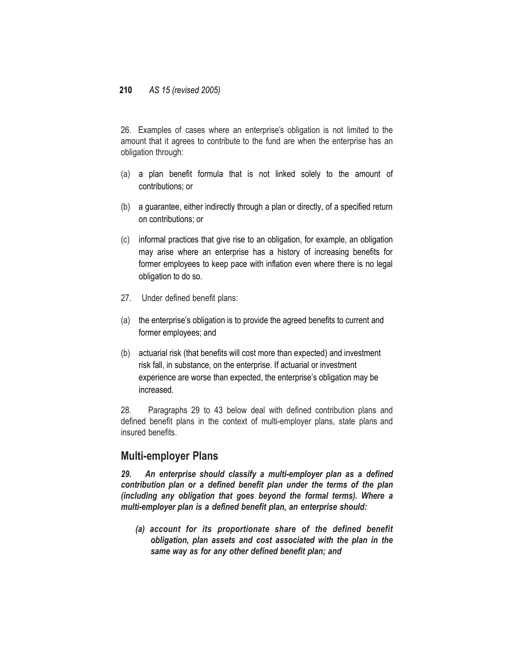26. Examples of cases where an enterprise's obligation is not limited to the amount that it agrees to contribute to the fund are when the enterprise has an obligation through:

- (a) a plan benefit formula that is not linked solely to the amount of contributions; or
- (b) a guarantee, either indirectly through a plan or directly, of a specified return on contributions; or
- (c) informal practices that give rise to an obligation, for example, an obligation may arise where an enterprise has a history of increasing benefits for former employees to keep pace with inflation even where there is no legal obligation to do so.
- 27. Under defined benefit plans:
- (a) the enterprise's obligation is to provide the agreed benefits to current and former employees; and
- (b) actuarial risk (that benefits will cost more than expected) and investment risk fall, in substance, on the enterprise. If actuarial or investment experience are worse than expected, the enterprise's obligation may be increased.

28. Paragraphs 29 to 43 below deal with defined contribution plans and defined benefit plans in the context of multi-employer plans, state plans and insured benefits.

### **Multi-employer Plans**

*29. An enterprise should classify a multi-employer plan as a defined contribution plan or a defined benefit plan under the terms of the plan (including any obligation that goes beyond the formal terms). Where a multi-employer plan is a defined benefit plan, an enterprise should:*

*(a) account for its proportionate share of the defined benefit obligation, plan assets and cost associated with the plan in the same way as for any other defined benefit plan; and*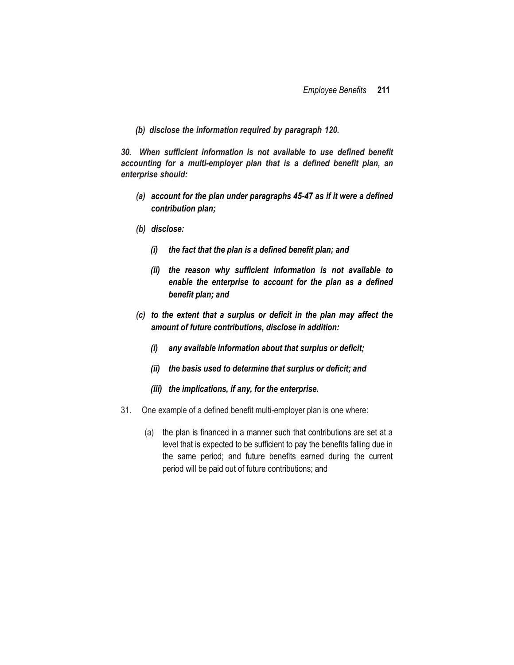*(b) disclose the information required by paragraph 120.*

*30. When sufficient information is not available to use defined benefit accounting for a multi-employer plan that is a defined benefit plan, an enterprise should:*

- *(a) account for the plan under paragraphs 45-47 as if it were a defined contribution plan;*
- *(b) disclose:*
	- *(i) the fact that the plan is a defined benefit plan; and*
	- *(ii) the reason why sufficient information is not available to enable the enterprise to account for the plan as a defined benefit plan; and*
- *(c) to the extent that a surplus or deficit in the plan may affect the amount of future contributions, disclose in addition:*
	- *(i) any available information about that surplus or deficit;*
	- *(ii) the basis used to determine that surplus or deficit; and*
	- *(iii) the implications, if any, for the enterprise.*
- 31. One example of a defined benefit multi-employer plan is one where:
	- (a) the plan is financed in a manner such that contributions are set at a level that is expected to be sufficient to pay the benefits falling due in the same period; and future benefits earned during the current period will be paid out of future contributions; and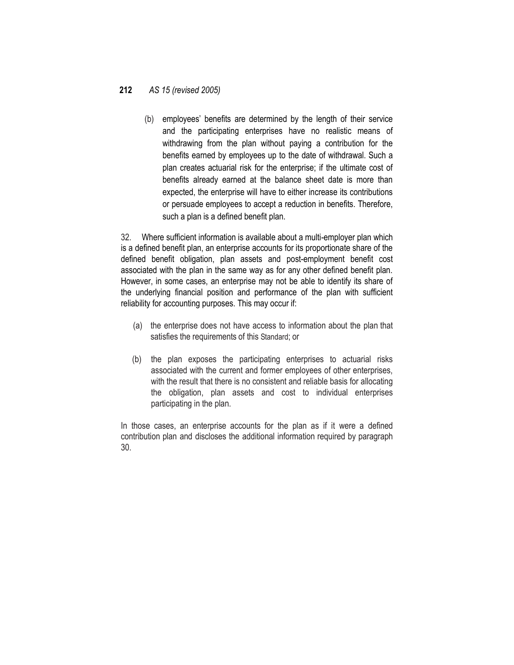(b) employees' benefits are determined by the length of their service and the participating enterprises have no realistic means of withdrawing from the plan without paying a contribution for the benefits earned by employees up to the date of withdrawal. Such a plan creates actuarial risk for the enterprise; if the ultimate cost of benefits already earned at the balance sheet date is more than expected, the enterprise will have to either increase its contributions or persuade employees to accept a reduction in benefits. Therefore, such a plan is a defined benefit plan.

32. Where sufficient information is available about a multi-employer plan which is a defined benefit plan, an enterprise accounts for its proportionate share of the defined benefit obligation, plan assets and post-employment benefit cost associated with the plan in the same way as for any other defined benefit plan. However, in some cases, an enterprise may not be able to identify its share of the underlying financial position and performance of the plan with sufficient reliability for accounting purposes. This may occur if:

- (a) the enterprise does not have access to information about the plan that satisfies the requirements of this Standard; or
- (b) the plan exposes the participating enterprises to actuarial risks associated with the current and former employees of other enterprises, with the result that there is no consistent and reliable basis for allocating the obligation, plan assets and cost to individual enterprises participating in the plan.

In those cases, an enterprise accounts for the plan as if it were a defined contribution plan and discloses the additional information required by paragraph 30.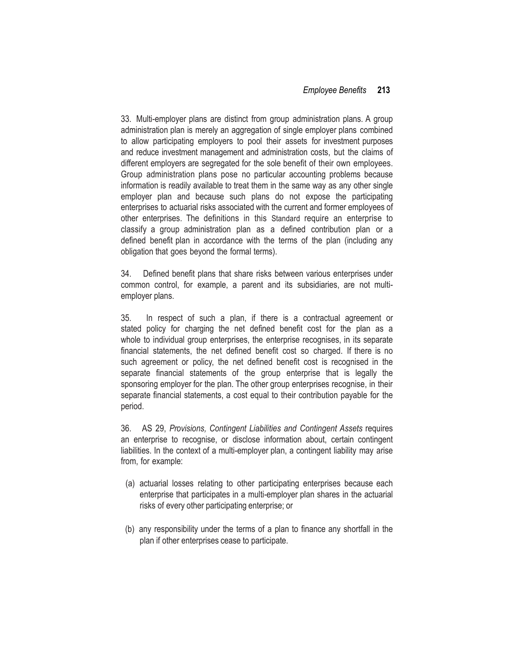33. Multi-employer plans are distinct from group administration plans. A group administration plan is merely an aggregation of single employer plans combined to allow participating employers to pool their assets for investment purposes and reduce investment management and administration costs, but the claims of different employers are segregated for the sole benefit of their own employees. Group administration plans pose no particular accounting problems because information is readily available to treat them in the same way as any other single employer plan and because such plans do not expose the participating enterprises to actuarial risks associated with the current and former employees of other enterprises. The definitions in this Standard require an enterprise to classify a group administration plan as a defined contribution plan or a defined benefit plan in accordance with the terms of the plan (including any obligation that goes beyond the formal terms).

34. Defined benefit plans that share risks between various enterprises under common control, for example, a parent and its subsidiaries, are not multiemployer plans.

35. In respect of such a plan, if there is a contractual agreement or stated policy for charging the net defined benefit cost for the plan as a whole to individual group enterprises, the enterprise recognises, in its separate financial statements, the net defined benefit cost so charged. If there is no such agreement or policy, the net defined benefit cost is recognised in the separate financial statements of the group enterprise that is legally the sponsoring employer for the plan. The other group enterprises recognise, in their separate financial statements, a cost equal to their contribution payable for the period.

36. AS 29, *Provisions, Contingent Liabilities and Contingent Assets* requires an enterprise to recognise, or disclose information about, certain contingent liabilities. In the context of a multi-employer plan, a contingent liability may arise from, for example:

- (a) actuarial losses relating to other participating enterprises because each enterprise that participates in a multi-employer plan shares in the actuarial risks of every other participating enterprise; or
- (b) any responsibility under the terms of a plan to finance any shortfall in the plan if other enterprises cease to participate.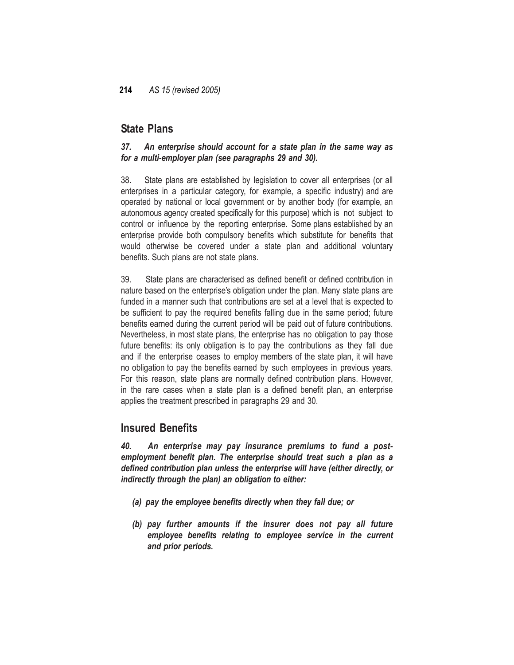## **State Plans**

### *37. An enterprise should account for a state plan in the same way as for a multi-employer plan (see paragraphs 29 and 30).*

38. State plans are established by legislation to cover all enterprises (or all enterprises in a particular category, for example, a specific industry) and are operated by national or local government or by another body (for example, an autonomous agency created specifically for this purpose) which is not subject to control or influence by the reporting enterprise. Some plans established by an enterprise provide both compulsory benefits which substitute for benefits that would otherwise be covered under a state plan and additional voluntary benefits. Such plans are not state plans.

39. State plans are characterised as defined benefit or defined contribution in nature based on the enterprise's obligation under the plan. Many state plans are funded in a manner such that contributions are set at a level that is expected to be sufficient to pay the required benefits falling due in the same period; future benefits earned during the current period will be paid out of future contributions. Nevertheless, in most state plans, the enterprise has no obligation to pay those future benefits: its only obligation is to pay the contributions as they fall due and if the enterprise ceases to employ members of the state plan, it will have no obligation to pay the benefits earned by such employees in previous years. For this reason, state plans are normally defined contribution plans. However, in the rare cases when a state plan is a defined benefit plan, an enterprise applies the treatment prescribed in paragraphs 29 and 30.

## **Insured Benefits**

*40. An enterprise may pay insurance premiums to fund a postemployment benefit plan. The enterprise should treat such a plan as a defined contribution plan unless the enterprise will have (either directly, or indirectly through the plan) an obligation to either:*

- *(a) pay the employee benefits directly when they fall due; or*
- *(b) pay further amounts if the insurer does not pay all future employee benefits relating to employee service in the current and prior periods.*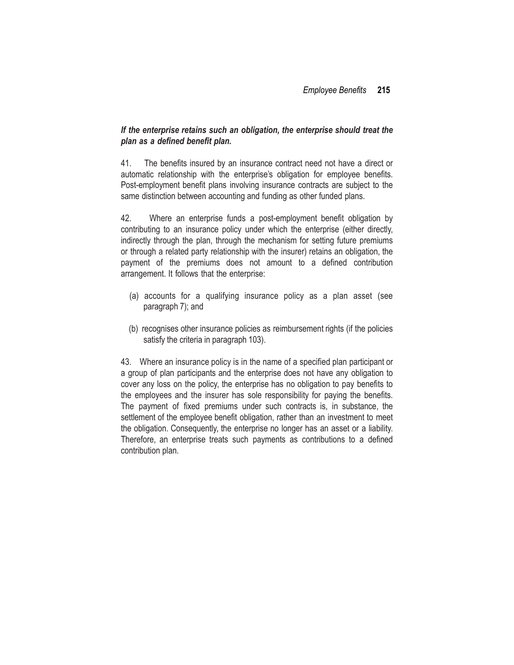### *If the enterprise retains such an obligation, the enterprise should treat the plan as a defined benefit plan.*

41. The benefits insured by an insurance contract need not have a direct or automatic relationship with the enterprise's obligation for employee benefits. Post-employment benefit plans involving insurance contracts are subject to the same distinction between accounting and funding as other funded plans.

42. Where an enterprise funds a post-employment benefit obligation by contributing to an insurance policy under which the enterprise (either directly, indirectly through the plan, through the mechanism for setting future premiums or through a related party relationship with the insurer) retains an obligation, the payment of the premiums does not amount to a defined contribution arrangement. It follows that the enterprise:

- (a) accounts for a qualifying insurance policy as a plan asset (see paragraph 7); and
- (b) recognises other insurance policies as reimbursement rights (if the policies satisfy the criteria in paragraph 103).

43. Where an insurance policy is in the name of a specified plan participant or a group of plan participants and the enterprise does not have any obligation to cover any loss on the policy, the enterprise has no obligation to pay benefits to the employees and the insurer has sole responsibility for paying the benefits. The payment of fixed premiums under such contracts is, in substance, the settlement of the employee benefit obligation, rather than an investment to meet the obligation. Consequently, the enterprise no longer has an asset or a liability. Therefore, an enterprise treats such payments as contributions to a defined contribution plan.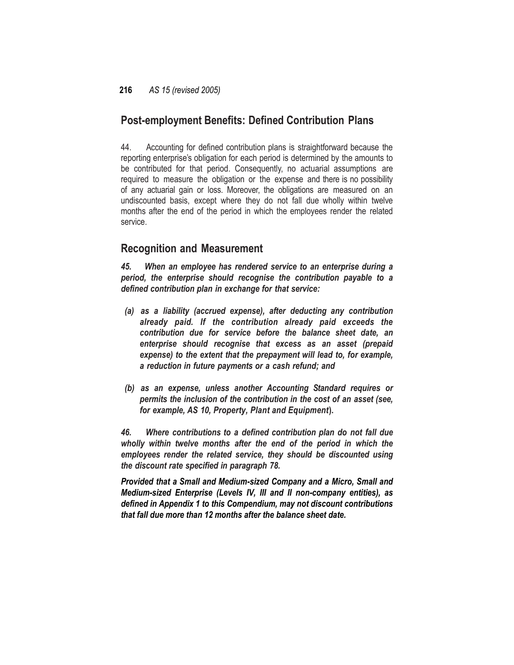## **Post-employment Benefits: Defined Contribution Plans**

44. Accounting for defined contribution plans is straightforward because the reporting enterprise's obligation for each period is determined by the amounts to be contributed for that period. Consequently, no actuarial assumptions are required to measure the obligation or the expense and there is no possibility of any actuarial gain or loss. Moreover, the obligations are measured on an undiscounted basis, except where they do not fall due wholly within twelve months after the end of the period in which the employees render the related service.

## **Recognition and Measurement**

*45. When an employee has rendered service to an enterprise during a period, the enterprise should recognise the contribution payable to a defined contribution plan in exchange for that service:*

- *(a) as a liability (accrued expense), after deducting any contribution already paid. If the contribution already paid exceeds the contribution due for service before the balance sheet date, an enterprise should recognise that excess as an asset (prepaid expense) to the extent that the prepayment will lead to, for example, a reduction in future payments or a cash refund; and*
- *(b) as an expense, unless another Accounting Standard requires or permits the inclusion of the contribution in the cost of an asset (see, for example, AS 10, Property, Plant and Equipment***).**

*46. Where contributions to a defined contribution plan do not fall due wholly within twelve months after the end of the period in which the employees render the related service, they should be discounted using the discount rate specified in paragraph 78.*

*Provided that a Small and Medium-sized Company and a Micro, Small and Medium-sized Enterprise (Levels IV, III and II non-company entities), as defined in Appendix 1 to this Compendium, may not discount contributions that fall due more than 12 months after the balance sheet date.*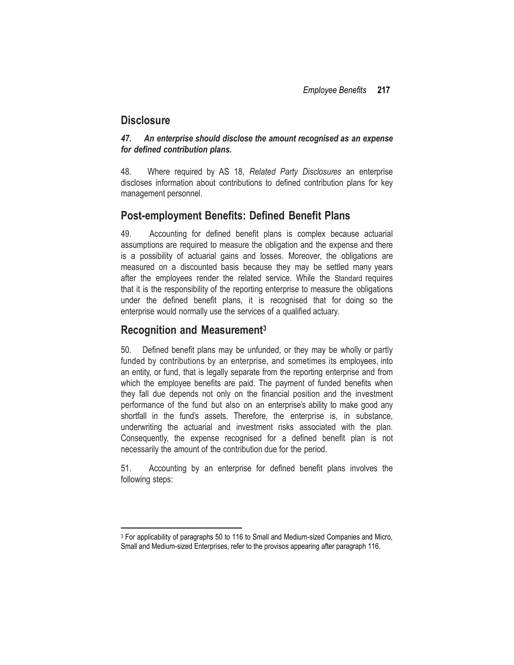## **Disclosure**

### *47. An enterprise should disclose the amount recognised as an expense for defined contribution plans.*

48. Where required by AS 18, *Related Party Disclosures* an enterprise discloses information about contributions to defined contribution plans for key management personnel.

## **Post-employment Benefits: Defined Benefit Plans**

49. Accounting for defined benefit plans is complex because actuarial assumptions are required to measure the obligation and the expense and there is a possibility of actuarial gains and losses. Moreover, the obligations are measured on a discounted basis because they may be settled many years after the employees render the related service. While the Standard requires that it is the responsibility of the reporting enterprise to measure the obligations under the defined benefit plans, it is recognised that for doing so the enterprise would normally use the services of a qualified actuary.

## **Recognition and Measurement<sup>3</sup>**

50. Defined benefit plans may be unfunded, or they may be wholly or partly funded by contributions by an enterprise, and sometimes its employees, into an entity, or fund, that is legally separate from the reporting enterprise and from which the employee benefits are paid. The payment of funded benefits when they fall due depends not only on the financial position and the investment performance of the fund but also on an enterprise's ability to make good any shortfall in the fund's assets. Therefore, the enterprise is, in substance, underwriting the actuarial and investment risks associated with the plan. Consequently, the expense recognised for a defined benefit plan is not necessarily the amount of the contribution due for the period.

51. Accounting by an enterprise for defined benefit plans involves the following steps:

 $\overline{\phantom{a}}$ <sup>3</sup> For applicability of paragraphs 50 to 116 to Small and Medium-sized Companies and Micro, Small and Medium-sized Enterprises, refer to the provisos appearing after paragraph 116.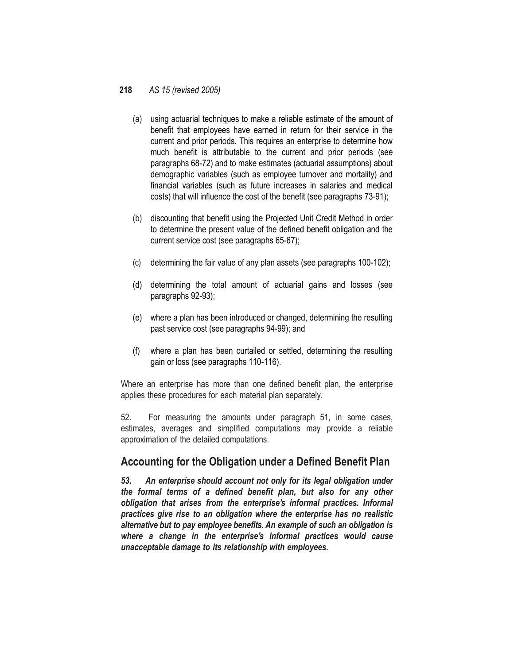- (a) using actuarial techniques to make a reliable estimate of the amount of benefit that employees have earned in return for their service in the current and prior periods. This requires an enterprise to determine how much benefit is attributable to the current and prior periods (see paragraphs 68-72) and to make estimates (actuarial assumptions) about demographic variables (such as employee turnover and mortality) and financial variables (such as future increases in salaries and medical costs) that will influence the cost of the benefit (see paragraphs 73-91);
- (b) discounting that benefit using the Projected Unit Credit Method in order to determine the present value of the defined benefit obligation and the current service cost (see paragraphs 65-67);
- (c) determining the fair value of any plan assets (see paragraphs 100-102);
- (d) determining the total amount of actuarial gains and losses (see paragraphs 92-93);
- (e) where a plan has been introduced or changed, determining the resulting past service cost (see paragraphs 94-99); and
- (f) where a plan has been curtailed or settled, determining the resulting gain or loss (see paragraphs 110-116).

Where an enterprise has more than one defined benefit plan, the enterprise applies these procedures for each material plan separately.

52. For measuring the amounts under paragraph 51, in some cases, estimates, averages and simplified computations may provide a reliable approximation of the detailed computations.

## **Accounting for the Obligation under a Defined Benefit Plan**

*53. An enterprise should account not only for its legal obligation under the formal terms of a defined benefit plan, but also for any other obligation that arises from the enterprise's informal practices. Informal practices give rise to an obligation where the enterprise has no realistic alternative but to pay employee benefits. An example of such an obligation is where a change in the enterprise's informal practices would cause unacceptable damage to its relationship with employees.*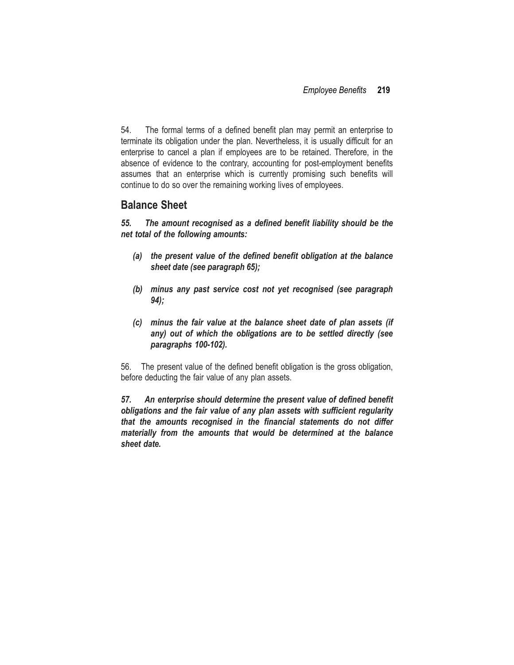54. The formal terms of a defined benefit plan may permit an enterprise to terminate its obligation under the plan. Nevertheless, it is usually difficult for an enterprise to cancel a plan if employees are to be retained. Therefore, in the absence of evidence to the contrary, accounting for post-employment benefits assumes that an enterprise which is currently promising such benefits will continue to do so over the remaining working lives of employees.

### **Balance Sheet**

*55. The amount recognised as a defined benefit liability should be the net total of the following amounts:*

- *(a) the present value of the defined benefit obligation at the balance sheet date (see paragraph 65);*
- *(b) minus any past service cost not yet recognised (see paragraph 94);*
- *(c) minus the fair value at the balance sheet date of plan assets (if any) out of which the obligations are to be settled directly (see paragraphs 100-102).*

56. The present value of the defined benefit obligation is the gross obligation, before deducting the fair value of any plan assets.

*57. An enterprise should determine the present value of defined benefit obligations and the fair value of any plan assets with sufficient regularity that the amounts recognised in the financial statements do not differ materially from the amounts that would be determined at the balance sheet date.*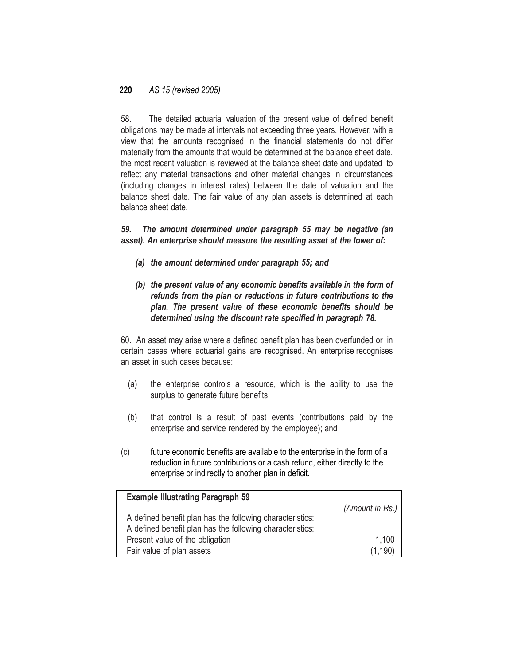58. The detailed actuarial valuation of the present value of defined benefit obligations may be made at intervals not exceeding three years. However, with a view that the amounts recognised in the financial statements do not differ materially from the amounts that would be determined at the balance sheet date, the most recent valuation is reviewed at the balance sheet date and updated to reflect any material transactions and other material changes in circumstances (including changes in interest rates) between the date of valuation and the balance sheet date. The fair value of any plan assets is determined at each balance sheet date.

*59. The amount determined under paragraph 55 may be negative (an asset). An enterprise should measure the resulting asset at the lower of:*

- *(a) the amount determined under paragraph 55; and*
- *(b) the present value of any economic benefits available in the form of refunds from the plan or reductions in future contributions to the plan. The present value of these economic benefits should be determined using the discount rate specified in paragraph 78.*

60. An asset may arise where a defined benefit plan has been overfunded or in certain cases where actuarial gains are recognised. An enterprise recognises an asset in such cases because:

- (a) the enterprise controls a resource, which is the ability to use the surplus to generate future benefits;
- (b) that control is a result of past events (contributions paid by the enterprise and service rendered by the employee); and
- (c) future economic benefits are available to the enterprise in the form of a reduction in future contributions or a cash refund, either directly to the enterprise or indirectly to another plan in deficit.

| <b>Example Illustrating Paragraph 59</b>                  |                         |
|-----------------------------------------------------------|-------------------------|
|                                                           | (Amount in Rs.) $\vert$ |
| A defined benefit plan has the following characteristics: |                         |
| A defined benefit plan has the following characteristics: |                         |
| Present value of the obligation                           | 1,100                   |
| Fair value of plan assets                                 | (1.190)                 |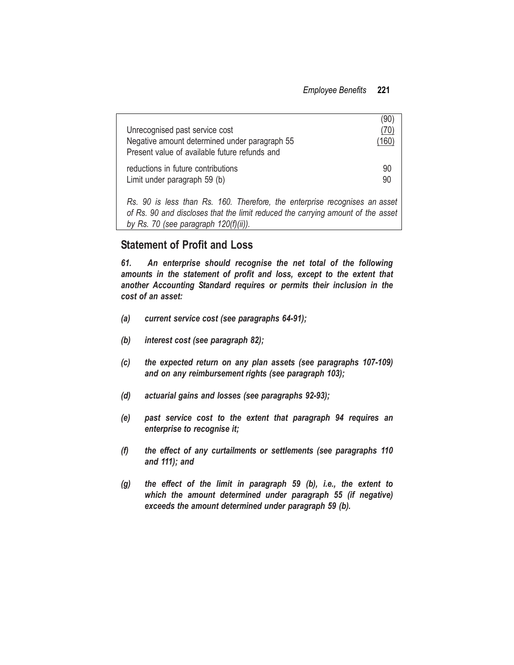| Unrecognised past service cost<br>Negative amount determined under paragraph 55 | (90)<br>(70)<br>$^{\prime}$ 160) |
|---------------------------------------------------------------------------------|----------------------------------|
| Present value of available future refunds and                                   |                                  |
| reductions in future contributions<br>Limit under paragraph 59 (b)              | 90<br>90                         |

*Rs. 90 is less than Rs. 160. Therefore, the enterprise recognises an asset of Rs. 90 and discloses that the limit reduced the carrying amount of the asset by Rs. 70 (see paragraph 120(f)(ii)).*

## **Statement of Profit and Loss**

*61. An enterprise should recognise the net total of the following amounts in the statement of profit and loss, except to the extent that another Accounting Standard requires or permits their inclusion in the cost of an asset:*

- *(a) current service cost (see paragraphs 64-91);*
- *(b) interest cost (see paragraph 82);*
- *(c) the expected return on any plan assets (see paragraphs 107-109) and on any reimbursement rights (see paragraph 103);*
- *(d) actuarial gains and losses (see paragraphs 92-93);*
- *(e) past service cost to the extent that paragraph 94 requires an enterprise to recognise it;*
- *(f) the effect of any curtailments or settlements (see paragraphs 110 and 111); and*
- *(g) the effect of the limit in paragraph 59 (b), i.e., the extent to which the amount determined under paragraph 55 (if negative) exceeds the amount determined under paragraph 59 (b).*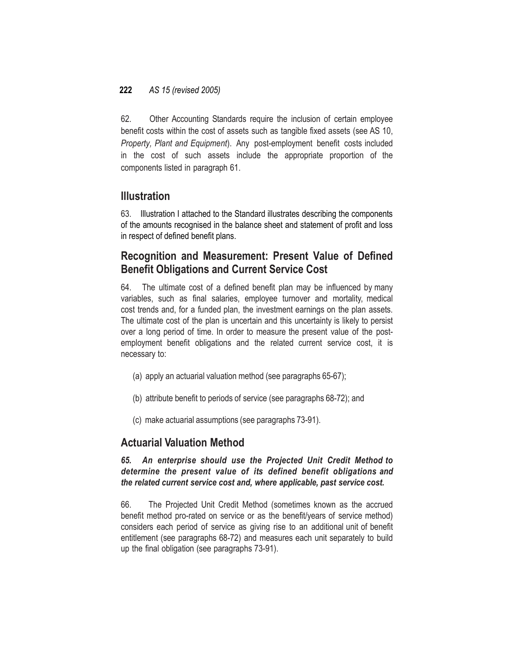62. Other Accounting Standards require the inclusion of certain employee benefit costs within the cost of assets such as tangible fixed assets (see AS 10, *Property, Plant and Equipment*). Any post-employment benefit costs included in the cost of such assets include the appropriate proportion of the components listed in paragraph 61.

### **Illustration**

63. Illustration I attached to the Standard illustrates describing the components of the amounts recognised in the balance sheet and statement of profit and loss in respect of defined benefit plans.

## **Recognition and Measurement: Present Value of Defined Benefit Obligations and Current Service Cost**

64. The ultimate cost of a defined benefit plan may be influenced by many variables, such as final salaries, employee turnover and mortality, medical cost trends and, for a funded plan, the investment earnings on the plan assets. The ultimate cost of the plan is uncertain and this uncertainty is likely to persist over a long period of time. In order to measure the present value of the postemployment benefit obligations and the related current service cost, it is necessary to:

- (a) apply an actuarial valuation method (see paragraphs 65-67);
- (b) attribute benefit to periods of service (see paragraphs 68-72); and
- (c) make actuarial assumptions (see paragraphs 73-91).

## **Actuarial Valuation Method**

### *65. An enterprise should use the Projected Unit Credit Method to determine the present value of its defined benefit obligations and the related current service cost and, where applicable, past service cost.*

66. The Projected Unit Credit Method (sometimes known as the accrued benefit method pro-rated on service or as the benefit/years of service method) considers each period of service as giving rise to an additional unit of benefit entitlement (see paragraphs 68-72) and measures each unit separately to build up the final obligation (see paragraphs 73-91).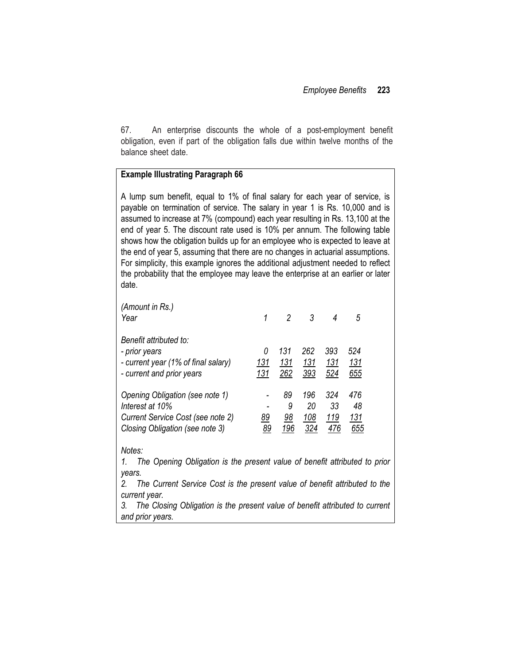67. An enterprise discounts the whole of a post-employment benefit obligation, even if part of the obligation falls due within twelve months of the balance sheet date.

#### **Example Illustrating Paragraph 66**

A lump sum benefit, equal to 1% of final salary for each year of service, is payable on termination of service. The salary in year 1 is Rs. 10,000 and is assumed to increase at 7% (compound) each year resulting in Rs. 13,100 at the end of year 5. The discount rate used is 10% per annum. The following table shows how the obligation builds up for an employee who is expected to leave at the end of year 5, assuming that there are no changes in actuarial assumptions. For simplicity, this example ignores the additional adjustment needed to reflect the probability that the employee may leave the enterprise at an earlier or later date.

| (Amount in Rs.)<br>Year                                                                                                    | 1               | 2                    | 3                       | 4                 | 5                       |
|----------------------------------------------------------------------------------------------------------------------------|-----------------|----------------------|-------------------------|-------------------|-------------------------|
| Benefit attributed to:<br>- prior years<br>- current year (1% of final salary)<br>- current and prior years                | 0<br>131<br>131 | 131<br>131<br>262    | 262<br>131<br>393       | 393<br>131<br>524 | 524<br>131<br>655       |
| Opening Obligation (see note 1)<br>Interest at 10%<br>Current Service Cost (see note 2)<br>Closing Obligation (see note 3) | 89<br>89        | 89<br>9<br>98<br>196 | 196<br>20<br>108<br>324 | 324<br>33<br>119  | 476<br>48<br>131<br>655 |

#### *Notes:*

*1. The Opening Obligation is the present value of benefit attributed to prior years.*

*2. The Current Service Cost is the present value of benefit attributed to the current year.*

*3. The Closing Obligation is the present value of benefit attributed to current and prior years.*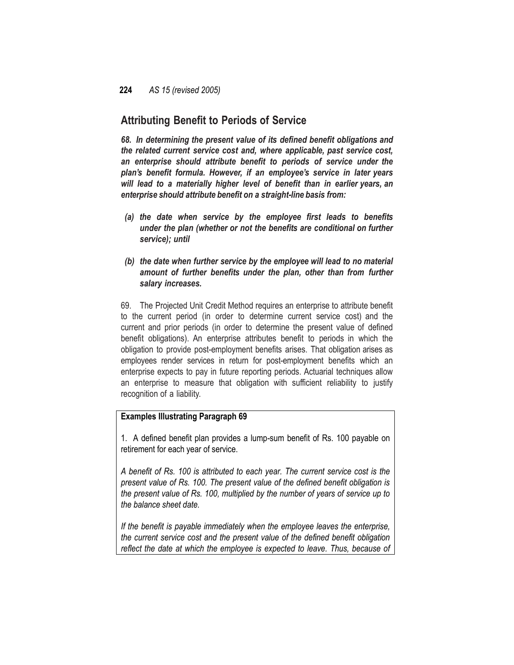## **Attributing Benefit to Periods of Service**

*68. In determining the present value of its defined benefit obligations and the related current service cost and, where applicable, past service cost, an enterprise should attribute benefit to periods of service under the plan's benefit formula. However, if an employee's service in later years will lead to a materially higher level of benefit than in earlier years, an enterprise should attribute benefit on a straight-line basis from:*

- *(a) the date when service by the employee first leads to benefits under the plan (whether or not the benefits are conditional on further service); until*
- *(b) the date when further service by the employee will lead to no material amount of further benefits under the plan, other than from further salary increases.*

69. The Projected Unit Credit Method requires an enterprise to attribute benefit to the current period (in order to determine current service cost) and the current and prior periods (in order to determine the present value of defined benefit obligations). An enterprise attributes benefit to periods in which the obligation to provide post-employment benefits arises. That obligation arises as employees render services in return for post-employment benefits which an enterprise expects to pay in future reporting periods. Actuarial techniques allow an enterprise to measure that obligation with sufficient reliability to justify recognition of a liability.

### **Examples Illustrating Paragraph 69**

1. A defined benefit plan provides a lump-sum benefit of Rs. 100 payable on retirement for each year of service.

*A benefit of Rs. 100 is attributed to each year. The current service cost is the present value of Rs. 100. The present value of the defined benefit obligation is the present value of Rs. 100, multiplied by the number of years of service up to the balance sheet date.*

*If the benefit is payable immediately when the employee leaves the enterprise, the current service cost and the present value of the defined benefit obligation reflect the date at which the employee is expected to leave. Thus, because of*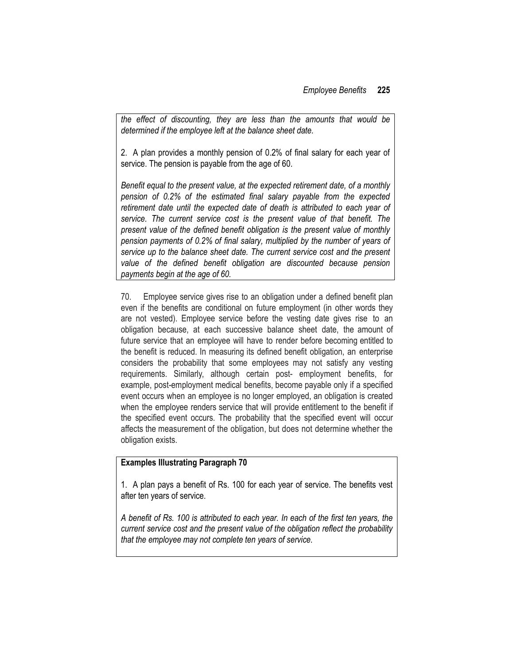*the effect of discounting, they are less than the amounts that would be determined if the employee left at the balance sheet date.*

2. A plan provides a monthly pension of 0.2% of final salary for each year of service. The pension is payable from the age of 60.

*Benefit equal to the present value, at the expected retirement date, of a monthly pension of 0.2% of the estimated final salary payable from the expected*  retirement date until the expected date of death is attributed to each year of *service. The current service cost is the present value of that benefit. The present value of the defined benefit obligation is the present value of monthly pension payments of 0.2% of final salary, multiplied by the number of years of service up to the balance sheet date. The current service cost and the present value of the defined benefit obligation are discounted because pension payments begin at the age of 60.*

70. Employee service gives rise to an obligation under a defined benefit plan even if the benefits are conditional on future employment (in other words they are not vested). Employee service before the vesting date gives rise to an obligation because, at each successive balance sheet date, the amount of future service that an employee will have to render before becoming entitled to the benefit is reduced. In measuring its defined benefit obligation, an enterprise considers the probability that some employees may not satisfy any vesting requirements. Similarly, although certain post- employment benefits, for example, post-employment medical benefits, become payable only if a specified event occurs when an employee is no longer employed, an obligation is created when the employee renders service that will provide entitlement to the benefit if the specified event occurs. The probability that the specified event will occur affects the measurement of the obligation, but does not determine whether the obligation exists.

### **Examples Illustrating Paragraph 70**

1. A plan pays a benefit of Rs. 100 for each year of service. The benefits vest after ten years of service.

*A benefit of Rs. 100 is attributed to each year. In each of the first ten years, the current service cost and the present value of the obligation reflect the probability that the employee may not complete ten years of service.*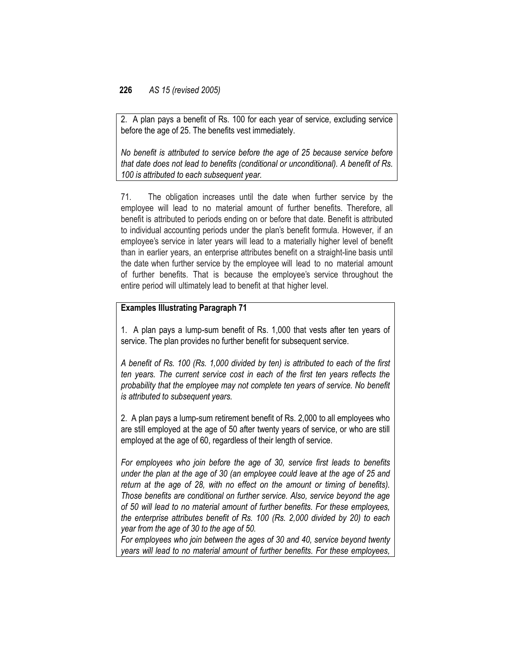2. A plan pays a benefit of Rs. 100 for each year of service, excluding service before the age of 25. The benefits vest immediately.

*No benefit is attributed to service before the age of 25 because service before that date does not lead to benefits (conditional or unconditional). A benefit of Rs. 100 is attributed to each subsequent year.*

71. The obligation increases until the date when further service by the employee will lead to no material amount of further benefits. Therefore, all benefit is attributed to periods ending on or before that date. Benefit is attributed to individual accounting periods under the plan's benefit formula. However, if an employee's service in later years will lead to a materially higher level of benefit than in earlier years, an enterprise attributes benefit on a straight-line basis until the date when further service by the employee will lead to no material amount of further benefits. That is because the employee's service throughout the entire period will ultimately lead to benefit at that higher level.

### **Examples Illustrating Paragraph 71**

1. A plan pays a lump-sum benefit of Rs. 1,000 that vests after ten years of service. The plan provides no further benefit for subsequent service.

*A benefit of Rs. 100 (Rs. 1,000 divided by ten) is attributed to each of the first ten years. The current service cost in each of the first ten years reflects the probability that the employee may not complete ten years of service. No benefit is attributed to subsequent years.*

2. A plan pays a lump-sum retirement benefit of Rs. 2,000 to all employees who are still employed at the age of 50 after twenty years of service, or who are still employed at the age of 60, regardless of their length of service.

*For employees who join before the age of 30, service first leads to benefits under the plan at the age of 30 (an employee could leave at the age of 25 and return at the age of 28, with no effect on the amount or timing of benefits). Those benefits are conditional on further service. Also, service beyond the age of 50 will lead to no material amount of further benefits. For these employees, the enterprise attributes benefit of Rs. 100 (Rs. 2,000 divided by 20) to each year from the age of 30 to the age of 50.*

*For employees who join between the ages of 30 and 40, service beyond twenty years will lead to no material amount of further benefits. For these employees,*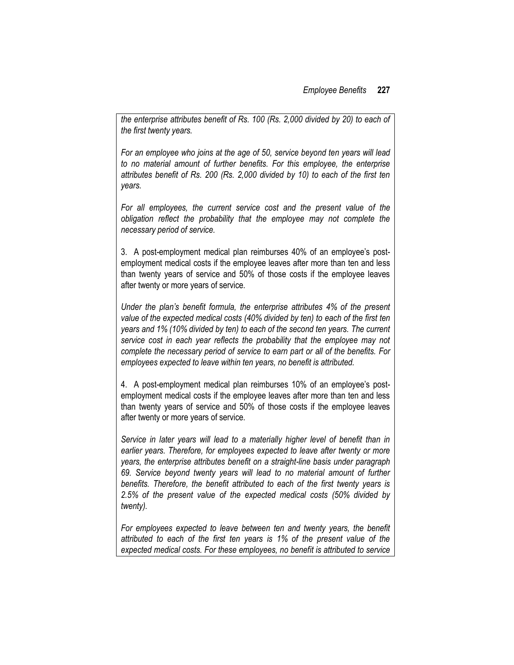*the enterprise attributes benefit of Rs. 100 (Rs. 2,000 divided by 20) to each of the first twenty years.*

*For an employee who joins at the age of 50, service beyond ten years will lead to no material amount of further benefits. For this employee, the enterprise attributes benefit of Rs. 200 (Rs. 2,000 divided by 10) to each of the first ten years.*

*For all employees, the current service cost and the present value of the obligation reflect the probability that the employee may not complete the necessary period of service.*

3. A post-employment medical plan reimburses 40% of an employee's postemployment medical costs if the employee leaves after more than ten and less than twenty years of service and 50% of those costs if the employee leaves after twenty or more years of service.

*Under the plan's benefit formula, the enterprise attributes 4% of the present value of the expected medical costs (40% divided by ten) to each of the first ten years and 1% (10% divided by ten) to each of the second ten years. The current service cost in each year reflects the probability that the employee may not complete the necessary period of service to earn part or all of the benefits. For employees expected to leave within ten years, no benefit is attributed.*

4. A post-employment medical plan reimburses 10% of an employee's postemployment medical costs if the employee leaves after more than ten and less than twenty years of service and 50% of those costs if the employee leaves after twenty or more years of service.

Service in later years will lead to a materially higher level of benefit than in *earlier years. Therefore, for employees expected to leave after twenty or more years, the enterprise attributes benefit on a straight-line basis under paragraph 69. Service beyond twenty years will lead to no material amount of further benefits. Therefore, the benefit attributed to each of the first twenty years is 2.5% of the present value of the expected medical costs (50% divided by twenty).*

*For employees expected to leave between ten and twenty years, the benefit attributed to each of the first ten years is 1% of the present value of the expected medical costs. For these employees, no benefit is attributed to service*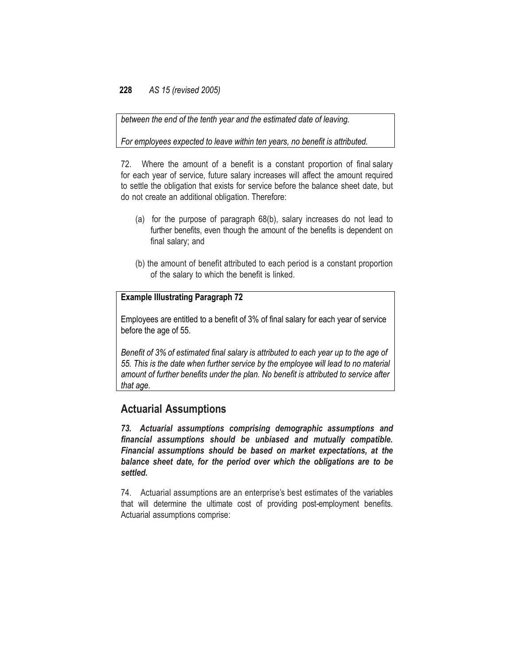*between the end of the tenth year and the estimated date of leaving.*

*For employees expected to leave within ten years, no benefit is attributed.*

72. Where the amount of a benefit is a constant proportion of final salary for each year of service, future salary increases will affect the amount required to settle the obligation that exists for service before the balance sheet date, but do not create an additional obligation. Therefore:

- (a) for the purpose of paragraph 68(b), salary increases do not lead to further benefits, even though the amount of the benefits is dependent on final salary; and
- (b) the amount of benefit attributed to each period is a constant proportion of the salary to which the benefit is linked.

### **Example Illustrating Paragraph 72**

Employees are entitled to a benefit of 3% of final salary for each year of service before the age of 55.

*Benefit of 3% of estimated final salary is attributed to each year up to the age of 55. This is the date when further service by the employee will lead to no material amount of further benefits under the plan. No benefit is attributed to service after that age.*

### **Actuarial Assumptions**

*73. Actuarial assumptions comprising demographic assumptions and financial assumptions should be unbiased and mutually compatible. Financial assumptions should be based on market expectations, at the balance sheet date, for the period over which the obligations are to be settled.*

74. Actuarial assumptions are an enterprise's best estimates of the variables that will determine the ultimate cost of providing post-employment benefits. Actuarial assumptions comprise: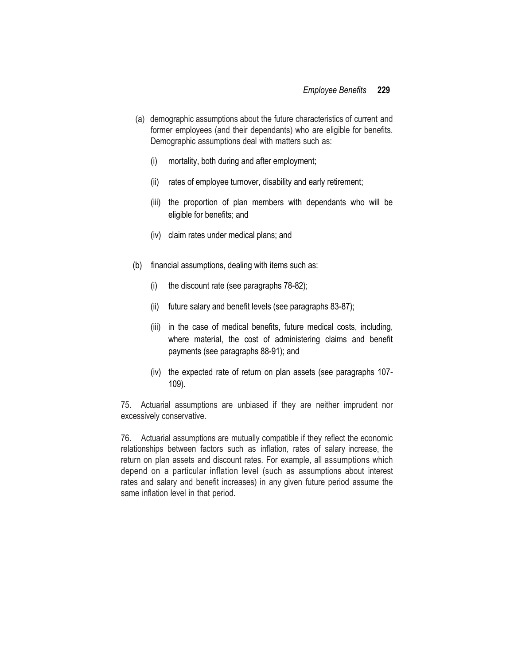- (a) demographic assumptions about the future characteristics of current and former employees (and their dependants) who are eligible for benefits. Demographic assumptions deal with matters such as:
	- (i) mortality, both during and after employment;
	- (ii) rates of employee turnover, disability and early retirement;
	- (iii) the proportion of plan members with dependants who will be eligible for benefits; and
	- (iv) claim rates under medical plans; and
- (b) financial assumptions, dealing with items such as:
	- (i) the discount rate (see paragraphs 78-82);
	- (ii) future salary and benefit levels (see paragraphs 83-87);
	- (iii) in the case of medical benefits, future medical costs, including, where material, the cost of administering claims and benefit payments (see paragraphs 88-91); and
	- (iv) the expected rate of return on plan assets (see paragraphs 107- 109).

75. Actuarial assumptions are unbiased if they are neither imprudent nor excessively conservative.

76. Actuarial assumptions are mutually compatible if they reflect the economic relationships between factors such as inflation, rates of salary increase, the return on plan assets and discount rates. For example, all assumptions which depend on a particular inflation level (such as assumptions about interest rates and salary and benefit increases) in any given future period assume the same inflation level in that period.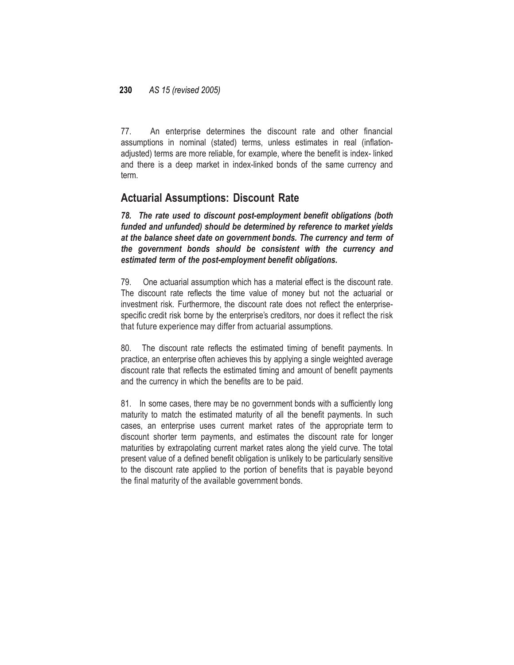77. An enterprise determines the discount rate and other financial assumptions in nominal (stated) terms, unless estimates in real (inflationadjusted) terms are more reliable, for example, where the benefit is index- linked and there is a deep market in index-linked bonds of the same currency and term.

## **Actuarial Assumptions: Discount Rate**

*78. The rate used to discount post-employment benefit obligations (both funded and unfunded) should be determined by reference to market yields at the balance sheet date on government bonds. The currency and term of the government bonds should be consistent with the currency and estimated term of the post-employment benefit obligations.*

79. One actuarial assumption which has a material effect is the discount rate. The discount rate reflects the time value of money but not the actuarial or investment risk. Furthermore, the discount rate does not reflect the enterprisespecific credit risk borne by the enterprise's creditors, nor does it reflect the risk that future experience may differ from actuarial assumptions.

80. The discount rate reflects the estimated timing of benefit payments. In practice, an enterprise often achieves this by applying a single weighted average discount rate that reflects the estimated timing and amount of benefit payments and the currency in which the benefits are to be paid.

81. In some cases, there may be no government bonds with a sufficiently long maturity to match the estimated maturity of all the benefit payments. In such cases, an enterprise uses current market rates of the appropriate term to discount shorter term payments, and estimates the discount rate for longer maturities by extrapolating current market rates along the yield curve. The total present value of a defined benefit obligation is unlikely to be particularly sensitive to the discount rate applied to the portion of benefits that is payable beyond the final maturity of the available government bonds.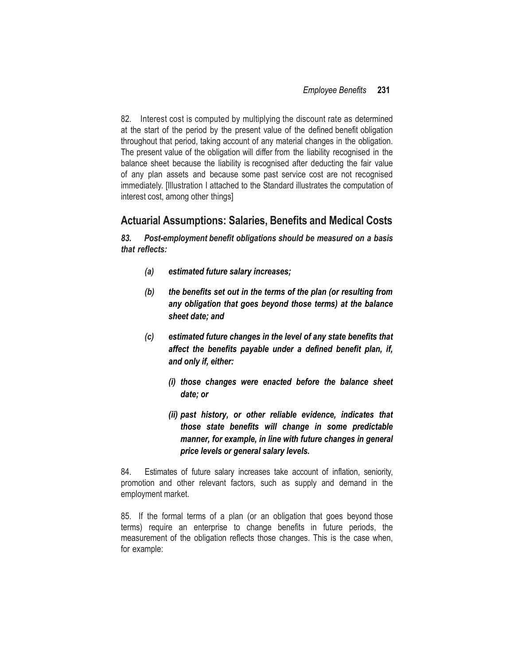82. Interest cost is computed by multiplying the discount rate as determined at the start of the period by the present value of the defined benefit obligation throughout that period, taking account of any material changes in the obligation. The present value of the obligation will differ from the liability recognised in the balance sheet because the liability is recognised after deducting the fair value of any plan assets and because some past service cost are not recognised immediately. [Illustration I attached to the Standard illustrates the computation of interest cost, among other things]

### **Actuarial Assumptions: Salaries, Benefits and Medical Costs**

*83. Post-employment benefit obligations should be measured on a basis that reflects:*

- *(a) estimated future salary increases;*
- *(b) the benefits set out in the terms of the plan (or resulting from any obligation that goes beyond those terms) at the balance sheet date; and*
- *(c) estimated future changes in the level of any state benefits that affect the benefits payable under a defined benefit plan, if, and only if, either:*
	- *(i) those changes were enacted before the balance sheet date; or*
	- *(ii) past history, or other reliable evidence, indicates that those state benefits will change in some predictable manner, for example, in line with future changes in general price levels or general salary levels.*

84. Estimates of future salary increases take account of inflation, seniority, promotion and other relevant factors, such as supply and demand in the employment market.

85. If the formal terms of a plan (or an obligation that goes beyond those terms) require an enterprise to change benefits in future periods, the measurement of the obligation reflects those changes. This is the case when, for example: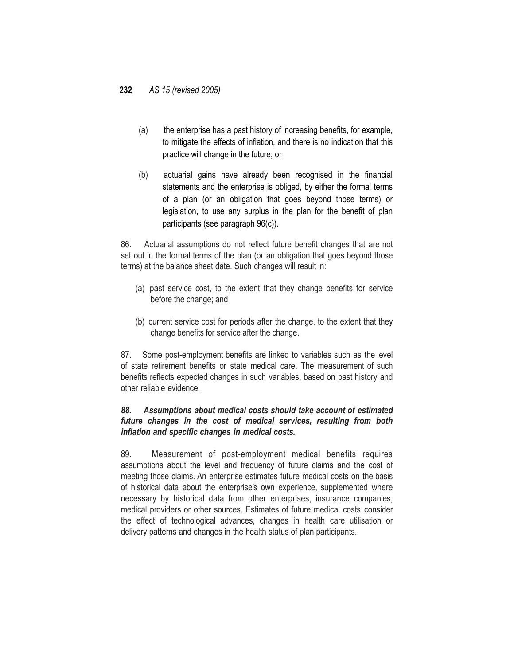- (a) the enterprise has a past history of increasing benefits, for example, to mitigate the effects of inflation, and there is no indication that this practice will change in the future; or
- (b) actuarial gains have already been recognised in the financial statements and the enterprise is obliged, by either the formal terms of a plan (or an obligation that goes beyond those terms) or legislation, to use any surplus in the plan for the benefit of plan participants (see paragraph 96(c)).

86. Actuarial assumptions do not reflect future benefit changes that are not set out in the formal terms of the plan (or an obligation that goes beyond those terms) at the balance sheet date. Such changes will result in:

- (a) past service cost, to the extent that they change benefits for service before the change; and
- (b) current service cost for periods after the change, to the extent that they change benefits for service after the change.

87. Some post-employment benefits are linked to variables such as the level of state retirement benefits or state medical care. The measurement of such benefits reflects expected changes in such variables, based on past history and other reliable evidence.

### *88. Assumptions about medical costs should take account of estimated future changes in the cost of medical services, resulting from both inflation and specific changes in medical costs.*

89. Measurement of post-employment medical benefits requires assumptions about the level and frequency of future claims and the cost of meeting those claims. An enterprise estimates future medical costs on the basis of historical data about the enterprise's own experience, supplemented where necessary by historical data from other enterprises, insurance companies, medical providers or other sources. Estimates of future medical costs consider the effect of technological advances, changes in health care utilisation or delivery patterns and changes in the health status of plan participants.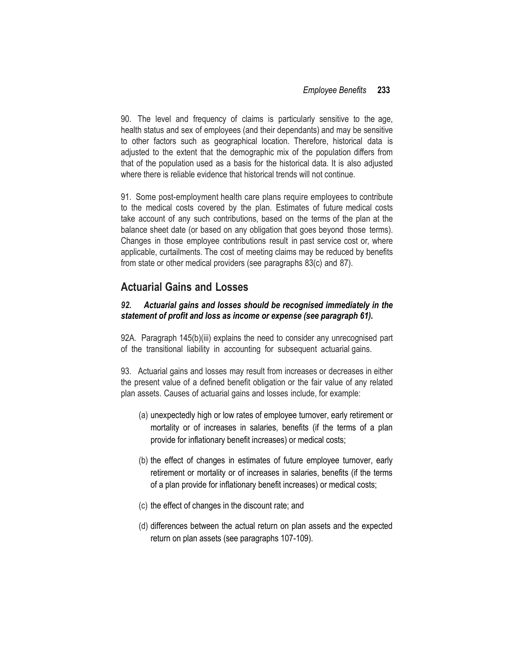90. The level and frequency of claims is particularly sensitive to the age, health status and sex of employees (and their dependants) and may be sensitive to other factors such as geographical location. Therefore, historical data is adjusted to the extent that the demographic mix of the population differs from that of the population used as a basis for the historical data. It is also adjusted where there is reliable evidence that historical trends will not continue.

91. Some post-employment health care plans require employees to contribute to the medical costs covered by the plan. Estimates of future medical costs take account of any such contributions, based on the terms of the plan at the balance sheet date (or based on any obligation that goes beyond those terms). Changes in those employee contributions result in past service cost or, where applicable, curtailments. The cost of meeting claims may be reduced by benefits from state or other medical providers (see paragraphs 83(c) and 87).

## **Actuarial Gains and Losses**

### *92. Actuarial gains and losses should be recognised immediately in the statement of profit and loss as income or expense (see paragraph 61).*

92A. Paragraph 145(b)(iii) explains the need to consider any unrecognised part of the transitional liability in accounting for subsequent actuarial gains.

93. Actuarial gains and losses may result from increases or decreases in either the present value of a defined benefit obligation or the fair value of any related plan assets. Causes of actuarial gains and losses include, for example:

- (a) unexpectedly high or low rates of employee turnover, early retirement or mortality or of increases in salaries, benefits (if the terms of a plan provide for inflationary benefit increases) or medical costs;
- (b) the effect of changes in estimates of future employee turnover, early retirement or mortality or of increases in salaries, benefits (if the terms of a plan provide for inflationary benefit increases) or medical costs;
- (c) the effect of changes in the discount rate; and
- (d) differences between the actual return on plan assets and the expected return on plan assets (see paragraphs 107-109).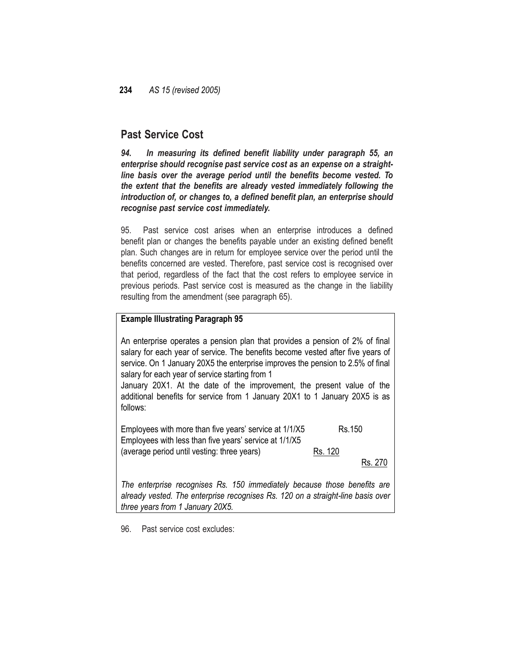## **Past Service Cost**

*94. In measuring its defined benefit liability under paragraph 55, an enterprise should recognise past service cost as an expense on a straightline basis over the average period until the benefits become vested. To the extent that the benefits are already vested immediately following the introduction of, or changes to, a defined benefit plan, an enterprise should recognise past service cost immediately.*

95. Past service cost arises when an enterprise introduces a defined benefit plan or changes the benefits payable under an existing defined benefit plan. Such changes are in return for employee service over the period until the benefits concerned are vested. Therefore, past service cost is recognised over that period, regardless of the fact that the cost refers to employee service in previous periods. Past service cost is measured as the change in the liability resulting from the amendment (see paragraph 65).

### **Example Illustrating Paragraph 95**

An enterprise operates a pension plan that provides a pension of 2% of final salary for each year of service. The benefits become vested after five years of service. On 1 January 20X5 the enterprise improves the pension to 2.5% of final salary for each year of service starting from 1

January 20X1. At the date of the improvement, the present value of the additional benefits for service from 1 January 20X1 to 1 January 20X5 is as follows:

Employees with more than five years' service at  $1/1/X5$  Rs.150 Employees with less than five years' service at 1/1/X5 (average period until vesting: three years) Rs. 120

Rs. 270

*The enterprise recognises Rs. 150 immediately because those benefits are already vested. The enterprise recognises Rs. 120 on a straight-line basis over three years from 1 January 20X5.*

96. Past service cost excludes: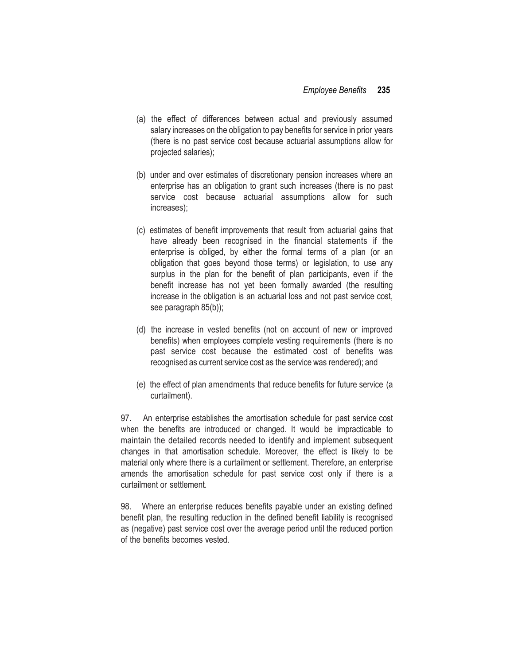- (a) the effect of differences between actual and previously assumed salary increases on the obligation to pay benefits for service in prior years (there is no past service cost because actuarial assumptions allow for projected salaries);
- (b) under and over estimates of discretionary pension increases where an enterprise has an obligation to grant such increases (there is no past service cost because actuarial assumptions allow for such increases);
- (c) estimates of benefit improvements that result from actuarial gains that have already been recognised in the financial statements if the enterprise is obliged, by either the formal terms of a plan (or an obligation that goes beyond those terms) or legislation, to use any surplus in the plan for the benefit of plan participants, even if the benefit increase has not yet been formally awarded (the resulting increase in the obligation is an actuarial loss and not past service cost, see paragraph 85(b));
- (d) the increase in vested benefits (not on account of new or improved benefits) when employees complete vesting requirements (there is no past service cost because the estimated cost of benefits was recognised as current service cost as the service was rendered); and
- (e) the effect of plan amendments that reduce benefits for future service (a curtailment).

97. An enterprise establishes the amortisation schedule for past service cost when the benefits are introduced or changed. It would be impracticable to maintain the detailed records needed to identify and implement subsequent changes in that amortisation schedule. Moreover, the effect is likely to be material only where there is a curtailment or settlement. Therefore, an enterprise amends the amortisation schedule for past service cost only if there is a curtailment or settlement.

98. Where an enterprise reduces benefits payable under an existing defined benefit plan, the resulting reduction in the defined benefit liability is recognised as (negative) past service cost over the average period until the reduced portion of the benefits becomes vested.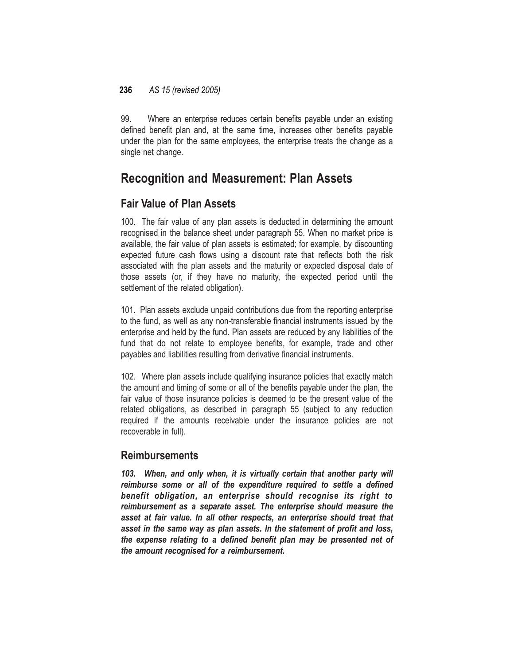99. Where an enterprise reduces certain benefits payable under an existing defined benefit plan and, at the same time, increases other benefits payable under the plan for the same employees, the enterprise treats the change as a single net change.

# **Recognition and Measurement: Plan Assets**

## **Fair Value of Plan Assets**

100. The fair value of any plan assets is deducted in determining the amount recognised in the balance sheet under paragraph 55. When no market price is available, the fair value of plan assets is estimated; for example, by discounting expected future cash flows using a discount rate that reflects both the risk associated with the plan assets and the maturity or expected disposal date of those assets (or, if they have no maturity, the expected period until the settlement of the related obligation).

101. Plan assets exclude unpaid contributions due from the reporting enterprise to the fund, as well as any non-transferable financial instruments issued by the enterprise and held by the fund. Plan assets are reduced by any liabilities of the fund that do not relate to employee benefits, for example, trade and other payables and liabilities resulting from derivative financial instruments.

102. Where plan assets include qualifying insurance policies that exactly match the amount and timing of some or all of the benefits payable under the plan, the fair value of those insurance policies is deemed to be the present value of the related obligations, as described in paragraph 55 (subject to any reduction required if the amounts receivable under the insurance policies are not recoverable in full).

## **Reimbursements**

*103. When, and only when, it is virtually certain that another party will reimburse some or all of the expenditure required to settle a defined benefit obligation, an enterprise should recognise its right to reimbursement as a separate asset. The enterprise should measure the asset at fair value. In all other respects, an enterprise should treat that asset in the same way as plan assets. In the statement of profit and loss, the expense relating to a defined benefit plan may be presented net of the amount recognised for a reimbursement.*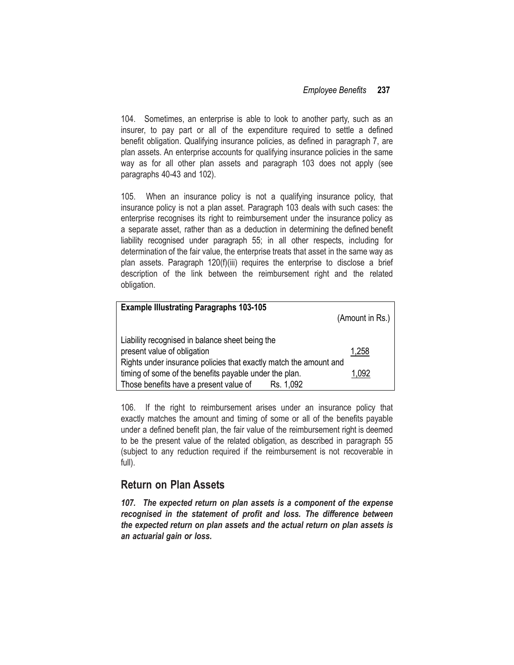104. Sometimes, an enterprise is able to look to another party, such as an insurer, to pay part or all of the expenditure required to settle a defined benefit obligation. Qualifying insurance policies, as defined in paragraph 7, are plan assets. An enterprise accounts for qualifying insurance policies in the same way as for all other plan assets and paragraph 103 does not apply (see paragraphs 40-43 and 102).

105. When an insurance policy is not a qualifying insurance policy, that insurance policy is not a plan asset. Paragraph 103 deals with such cases: the enterprise recognises its right to reimbursement under the insurance policy as a separate asset, rather than as a deduction in determining the defined benefit liability recognised under paragraph 55; in all other respects, including for determination of the fair value, the enterprise treats that asset in the same way as plan assets. Paragraph 120(f)(iii) requires the enterprise to disclose a brief description of the link between the reimbursement right and the related obligation.

| <b>Example Illustrating Paragraphs 103-105</b>                    |                         |
|-------------------------------------------------------------------|-------------------------|
|                                                                   | (Amount in Rs.) $\vert$ |
|                                                                   |                         |
| Liability recognised in balance sheet being the                   |                         |
| present value of obligation                                       | 1,258                   |
| Rights under insurance policies that exactly match the amount and |                         |
| timing of some of the benefits payable under the plan.            | 1,092                   |
| Those benefits have a present value of<br>Rs. 1,092               |                         |

106. If the right to reimbursement arises under an insurance policy that exactly matches the amount and timing of some or all of the benefits payable under a defined benefit plan, the fair value of the reimbursement right is deemed to be the present value of the related obligation, as described in paragraph 55 (subject to any reduction required if the reimbursement is not recoverable in full).

## **Return on Plan Assets**

*107. The expected return on plan assets is a component of the expense recognised in the statement of profit and loss. The difference between the expected return on plan assets and the actual return on plan assets is an actuarial gain or loss.*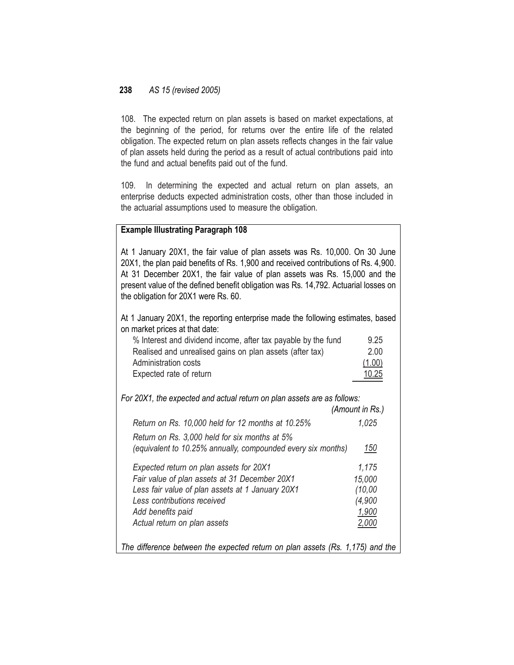108. The expected return on plan assets is based on market expectations, at the beginning of the period, for returns over the entire life of the related obligation. The expected return on plan assets reflects changes in the fair value of plan assets held during the period as a result of actual contributions paid into the fund and actual benefits paid out of the fund.

109. In determining the expected and actual return on plan assets, an enterprise deducts expected administration costs, other than those included in the actuarial assumptions used to measure the obligation.

### **Example Illustrating Paragraph 108**

At 1 January 20X1, the fair value of plan assets was Rs. 10,000. On 30 June 20X1, the plan paid benefits of Rs. 1,900 and received contributions of Rs. 4,900. At 31 December 20X1, the fair value of plan assets was Rs. 15,000 and the present value of the defined benefit obligation was Rs. 14,792. Actuarial losses on the obligation for 20X1 were Rs. 60.

At 1 January 20X1, the reporting enterprise made the following estimates, based on market prices at that date:

| % Interest and dividend income, after tax payable by the fund | 9.25   |
|---------------------------------------------------------------|--------|
| Realised and unrealised gains on plan assets (after tax)      | 2.00   |
| Administration costs                                          | (1.00) |
| Expected rate of return                                       | 10.25  |

*For 20X1, the expected and actual return on plan assets are as follows:*

|                                                                                                               | (Amount in Rs.) |
|---------------------------------------------------------------------------------------------------------------|-----------------|
| Return on Rs. 10,000 held for 12 months at 10.25%                                                             | 1.025           |
| Return on Rs. 3,000 held for six months at 5%<br>(equivalent to 10.25% annually, compounded every six months) | 150             |
| Expected return on plan assets for 20X1                                                                       | 1,175           |
| Fair value of plan assets at 31 December 20X1                                                                 | 15,000          |
| Less fair value of plan assets at 1 January 20X1                                                              | (10,00)         |
| Less contributions received                                                                                   | (4,900          |
| Add benefits paid                                                                                             | 1,900           |
| Actual return on plan assets                                                                                  | 2,000           |
| The difference between the expected return on plan assets (Rs. 1,175) and the                                 |                 |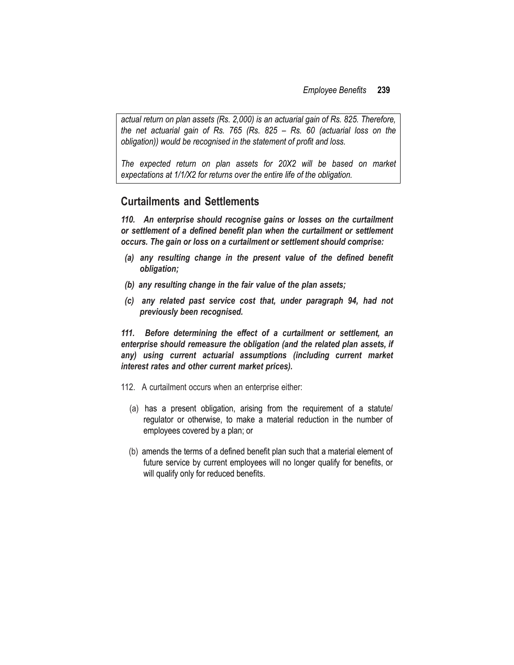*actual return on plan assets (Rs. 2,000) is an actuarial gain of Rs. 825. Therefore, the net actuarial gain of Rs. 765 (Rs. 825 – Rs. 60 (actuarial loss on the obligation)) would be recognised in the statement of profit and loss.*

*The expected return on plan assets for 20X2 will be based on market expectations at 1/1/X2 for returns over the entire life of the obligation.*

### **Curtailments and Settlements**

*110. An enterprise should recognise gains or losses on the curtailment or settlement of a defined benefit plan when the curtailment or settlement occurs. The gain or loss on a curtailment or settlement should comprise:*

- *(a) any resulting change in the present value of the defined benefit obligation;*
- *(b) any resulting change in the fair value of the plan assets;*
- *(c) any related past service cost that, under paragraph 94, had not previously been recognised.*

*111. Before determining the effect of a curtailment or settlement, an enterprise should remeasure the obligation (and the related plan assets, if any) using current actuarial assumptions (including current market interest rates and other current market prices).*

- 112. A curtailment occurs when an enterprise either:
	- (a) has a present obligation, arising from the requirement of a statute/ regulator or otherwise, to make a material reduction in the number of employees covered by a plan; or
	- (b) amends the terms of a defined benefit plan such that a material element of future service by current employees will no longer qualify for benefits, or will qualify only for reduced benefits.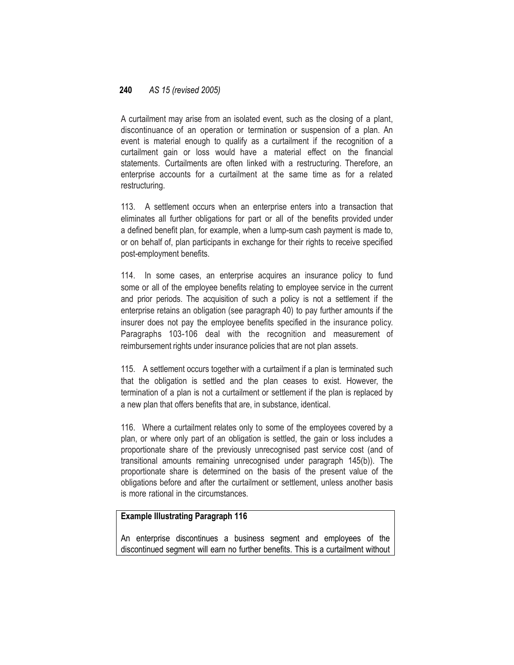A curtailment may arise from an isolated event, such as the closing of a plant, discontinuance of an operation or termination or suspension of a plan. An event is material enough to qualify as a curtailment if the recognition of a curtailment gain or loss would have a material effect on the financial statements. Curtailments are often linked with a restructuring. Therefore, an enterprise accounts for a curtailment at the same time as for a related restructuring.

113. A settlement occurs when an enterprise enters into a transaction that eliminates all further obligations for part or all of the benefits provided under a defined benefit plan, for example, when a lump-sum cash payment is made to, or on behalf of, plan participants in exchange for their rights to receive specified post-employment benefits.

114. In some cases, an enterprise acquires an insurance policy to fund some or all of the employee benefits relating to employee service in the current and prior periods. The acquisition of such a policy is not a settlement if the enterprise retains an obligation (see paragraph 40) to pay further amounts if the insurer does not pay the employee benefits specified in the insurance policy. Paragraphs 103-106 deal with the recognition and measurement of reimbursement rights under insurance policies that are not plan assets.

115. A settlement occurs together with a curtailment if a plan is terminated such that the obligation is settled and the plan ceases to exist. However, the termination of a plan is not a curtailment or settlement if the plan is replaced by a new plan that offers benefits that are, in substance, identical.

116. Where a curtailment relates only to some of the employees covered by a plan, or where only part of an obligation is settled, the gain or loss includes a proportionate share of the previously unrecognised past service cost (and of transitional amounts remaining unrecognised under paragraph 145(b)). The proportionate share is determined on the basis of the present value of the obligations before and after the curtailment or settlement, unless another basis is more rational in the circumstances.

### **Example Illustrating Paragraph 116**

An enterprise discontinues a business segment and employees of the discontinued segment will earn no further benefits. This is a curtailment without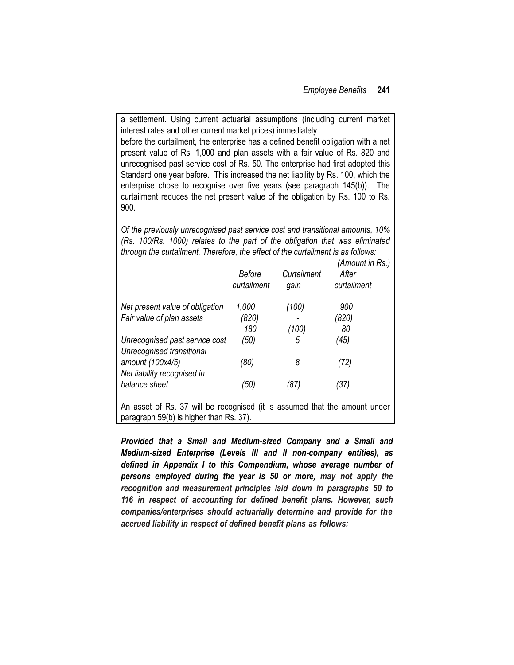a settlement. Using current actuarial assumptions (including current market interest rates and other current market prices) immediately before the curtailment, the enterprise has a defined benefit obligation with a net present value of Rs. 1,000 and plan assets with a fair value of Rs. 820 and unrecognised past service cost of Rs. 50. The enterprise had first adopted this Standard one year before. This increased the net liability by Rs. 100, which the enterprise chose to recognise over five years (see paragraph 145(b)). The curtailment reduces the net present value of the obligation by Rs. 100 to Rs. 900.

*Of the previously unrecognised past service cost and transitional amounts, 10% (Rs. 100/Rs. 1000) relates to the part of the obligation that was eliminated through the curtailment. Therefore, the effect of the curtailment is as follows:*

|                                                             | Before<br>curtailment | Curtailment<br>gain | (Amount in Rs.)<br>After<br>curtailment |
|-------------------------------------------------------------|-----------------------|---------------------|-----------------------------------------|
| Net present value of obligation                             | 1,000                 | (100)               | 900                                     |
| Fair value of plan assets                                   | (820)                 |                     | (820)                                   |
|                                                             | 180                   | (100)               | 80                                      |
| Unrecognised past service cost<br>Unrecognised transitional | (50)                  | 5                   | (45)                                    |
| amount (100x4/5)<br>Net liability recognised in             | (80)                  | 8                   | (72)                                    |
| balance sheet                                               | (50)                  | (87)                | (37)                                    |
| $\Lambda_{\text{max}}$ and $\Lambda_{\text{max}}$           |                       |                     |                                         |

An asset of Rs. 37 will be recognised (it is assumed that the amount under paragraph 59(b) is higher than Rs. 37).

*Provided that a Small and Medium-sized Company and a Small and Medium-sized Enterprise (Levels III and II non-company entities), as defined in Appendix I to this Compendium, whose average number of persons employed during the year is 50 or more, may not apply the recognition and measurement principles laid down in paragraphs 50 to 116 in respect of accounting for defined benefit plans. However, such companies/enterprises should actuarially determine and provide for the accrued liability in respect of defined benefit plans as follows:*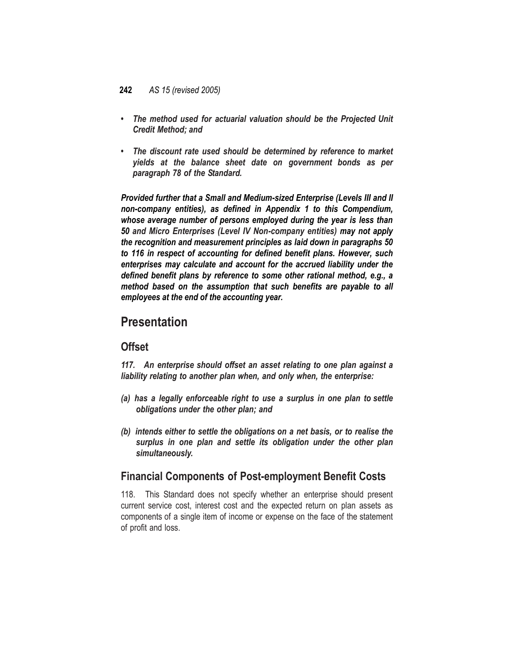- *• The method used for actuarial valuation should be the Projected Unit Credit Method; and*
- *The discount rate used should be determined by reference to market yields at the balance sheet date on government bonds as per paragraph 78 of the Standard.*

*Provided further that a Small and Medium-sized Enterprise (Levels III and II non-company entities), as defined in Appendix 1 to this Compendium, whose average number of persons employed during the year is less than 50 and Micro Enterprises (Level IV Non-company entities) may not apply the recognition and measurement principles as laid down in paragraphs 50 to 116 in respect of accounting for defined benefit plans. However, such*  enterprises may calculate and account for the accrued liability under the *defined benefit plans by reference to some other rational method, e.g., a method based on the assumption that such benefits are payable to all employees at the end of the accounting year.*

# **Presentation**

## **Offset**

*117. An enterprise should offset an asset relating to one plan against a liability relating to another plan when, and only when, the enterprise:*

- *(a) has a legally enforceable right to use a surplus in one plan to settle obligations under the other plan; and*
- *(b) intends either to settle the obligations on a net basis, or to realise the surplus in one plan and settle its obligation under the other plan simultaneously.*

## **Financial Components of Post-employment Benefit Costs**

118. This Standard does not specify whether an enterprise should present current service cost, interest cost and the expected return on plan assets as components of a single item of income or expense on the face of the statement of profit and loss.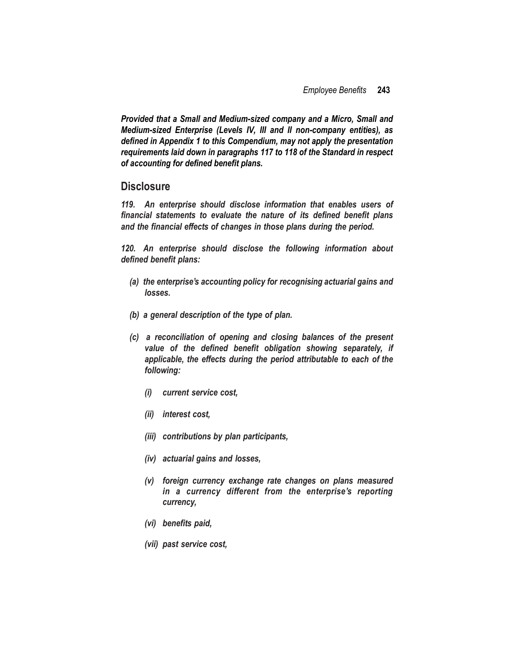*Provided that a Small and Medium-sized company and a Micro, Small and Medium-sized Enterprise (Levels IV, III and II non-company entities), as defined in Appendix 1 to this Compendium, may not apply the presentation requirements laid down in paragraphs 117 to 118 of the Standard in respect of accounting for defined benefit plans.*

### **Disclosure**

*119. An enterprise should disclose information that enables users of financial statements to evaluate the nature of its defined benefit plans and the financial effects of changes in those plans during the period.*

*120. An enterprise should disclose the following information about defined benefit plans:*

- *(a) the enterprise's accounting policy for recognising actuarial gains and losses.*
- *(b) a general description of the type of plan.*
- *(c) a reconciliation of opening and closing balances of the present value of the defined benefit obligation showing separately, if applicable, the effects during the period attributable to each of the following:*
	- *(i) current service cost,*
	- *(ii) interest cost,*
	- *(iii) contributions by plan participants,*
	- *(iv) actuarial gains and losses,*
	- *(v) foreign currency exchange rate changes on plans measured in a currency different from the enterprise's reporting currency,*
	- *(vi) benefits paid,*
	- *(vii) past service cost,*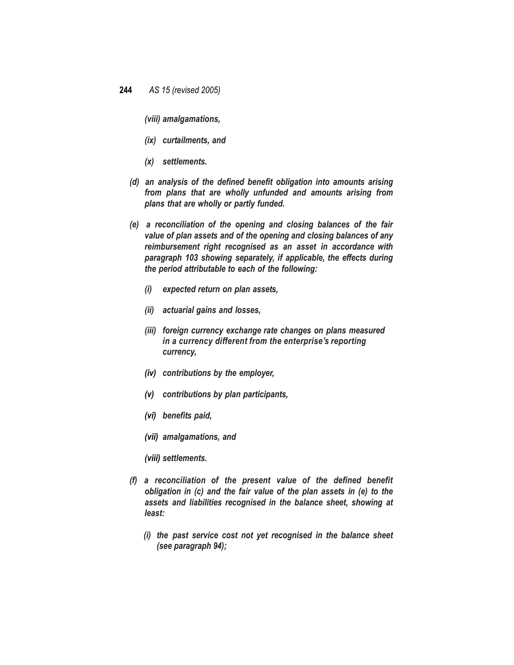*(viii) amalgamations,*

- *(ix) curtailments, and*
- *(x) settlements.*
- *(d) an analysis of the defined benefit obligation into amounts arising from plans that are wholly unfunded and amounts arising from plans that are wholly or partly funded.*
- *(e) a reconciliation of the opening and closing balances of the fair value of plan assets and of the opening and closing balances of any reimbursement right recognised as an asset in accordance with paragraph 103 showing separately, if applicable, the effects during the period attributable to each of the following:*
	- *(i) expected return on plan assets,*
	- *(ii) actuarial gains and losses,*
	- *(iii) foreign currency exchange rate changes on plans measured in a currency different from the enterprise's reporting currency,*
	- *(iv) contributions by the employer,*
	- *(v) contributions by plan participants,*
	- *(vi) benefits paid,*
	- *(vii) amalgamations, and*
	- *(viii) settlements.*
- *(f) a reconciliation of the present value of the defined benefit obligation in (c) and the fair value of the plan assets in (e) to the assets and liabilities recognised in the balance sheet, showing at least:*
	- *(i) the past service cost not yet recognised in the balance sheet (see paragraph 94);*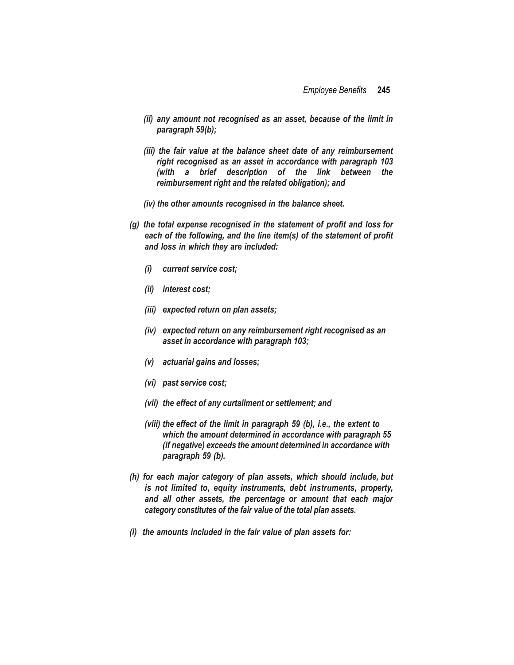- *(ii) any amount not recognised as an asset, because of the limit in paragraph 59(b);*
- *(iii) the fair value at the balance sheet date of any reimbursement right recognised as an asset in accordance with paragraph 103 (with a brief description of the link between the reimbursement right and the related obligation); and*
- *(iv) the other amounts recognised in the balance sheet.*
- *(g) the total expense recognised in the statement of profit and loss for each of the following, and the line item(s) of the statement of profit and loss in which they are included:*
	- *(i) current service cost;*
	- *(ii) interest cost;*
	- *(iii) expected return on plan assets;*
	- *(iv) expected return on any reimbursement right recognised as an asset in accordance with paragraph 103;*
	- *(v) actuarial gains and losses;*
	- *(vi) past service cost;*
	- *(vii) the effect of any curtailment or settlement; and*
	- *(viii) the effect of the limit in paragraph 59 (b), i.e., the extent to which the amount determined in accordance with paragraph 55 (if negative) exceeds the amount determined in accordance with paragraph 59 (b).*
- *(h) for each major category of plan assets, which should include, but is not limited to, equity instruments, debt instruments, property, and all other assets, the percentage or amount that each major category constitutes of the fair value of the total plan assets.*
- *(i) the amounts included in the fair value of plan assets for:*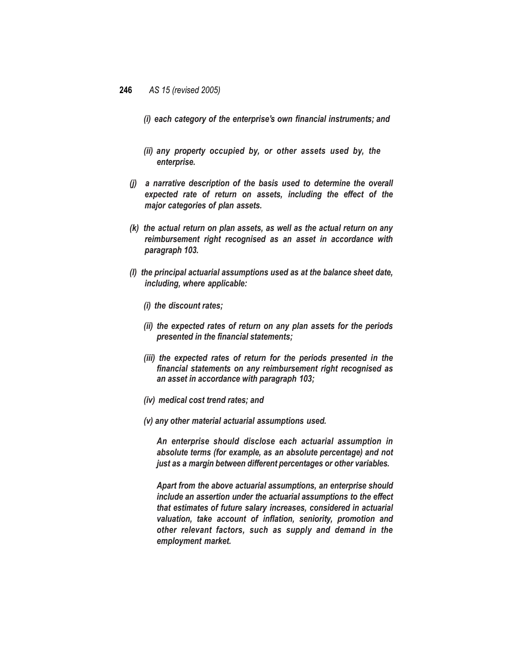*(i) each category of the enterprise's own financial instruments; and*

- *(ii) any property occupied by, or other assets used by, the enterprise.*
- *(j) a narrative description of the basis used to determine the overall expected rate of return on assets, including the effect of the major categories of plan assets.*
- *(k) the actual return on plan assets, as well as the actual return on any reimbursement right recognised as an asset in accordance with paragraph 103.*
- *(l) the principal actuarial assumptions used as at the balance sheet date, including, where applicable:*
	- *(i) the discount rates;*
	- *(ii) the expected rates of return on any plan assets for the periods presented in the financial statements;*
	- *(iii) the expected rates of return for the periods presented in the financial statements on any reimbursement right recognised as an asset in accordance with paragraph 103;*
	- *(iv) medical cost trend rates; and*
	- *(v) any other material actuarial assumptions used.*

*An enterprise should disclose each actuarial assumption in absolute terms (for example, as an absolute percentage) and not just as a margin between different percentages or other variables.*

*Apart from the above actuarial assumptions, an enterprise should include an assertion under the actuarial assumptions to the effect that estimates of future salary increases, considered in actuarial valuation, take account of inflation, seniority, promotion and other relevant factors, such as supply and demand in the employment market.*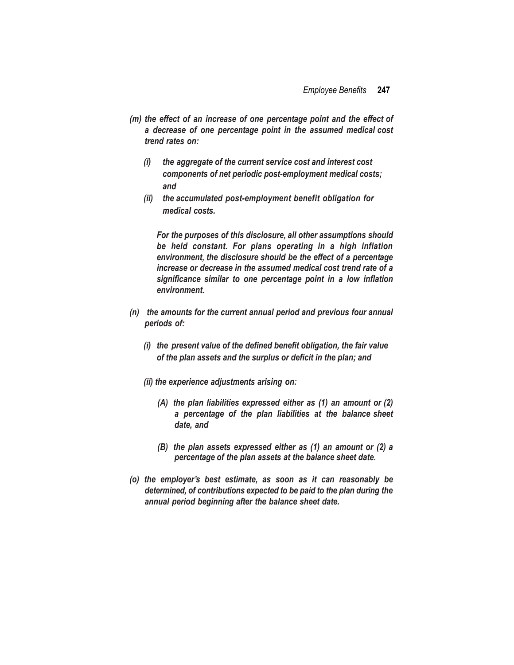- *(m) the effect of an increase of one percentage point and the effect of a decrease of one percentage point in the assumed medical cost trend rates on:*
	- *(i) the aggregate of the current service cost and interest cost components of net periodic post-employment medical costs; and*
	- *(ii) the accumulated post-employment benefit obligation for medical costs.*

*For the purposes of this disclosure, all other assumptions should be held constant. For plans operating in a high inflation environment, the disclosure should be the effect of a percentage increase or decrease in the assumed medical cost trend rate of a significance similar to one percentage point in a low inflation environment.*

- *(n) the amounts for the current annual period and previous four annual periods of:*
	- *(i) the present value of the defined benefit obligation, the fair value of the plan assets and the surplus or deficit in the plan; and*
	- *(ii) the experience adjustments arising on:*
		- *(A) the plan liabilities expressed either as (1) an amount or (2) a percentage of the plan liabilities at the balance sheet date, and*
		- *(B) the plan assets expressed either as (1) an amount or (2) a percentage of the plan assets at the balance sheet date.*
- *(o) the employer's best estimate, as soon as it can reasonably be determined, of contributions expected to be paid to the plan during the annual period beginning after the balance sheet date.*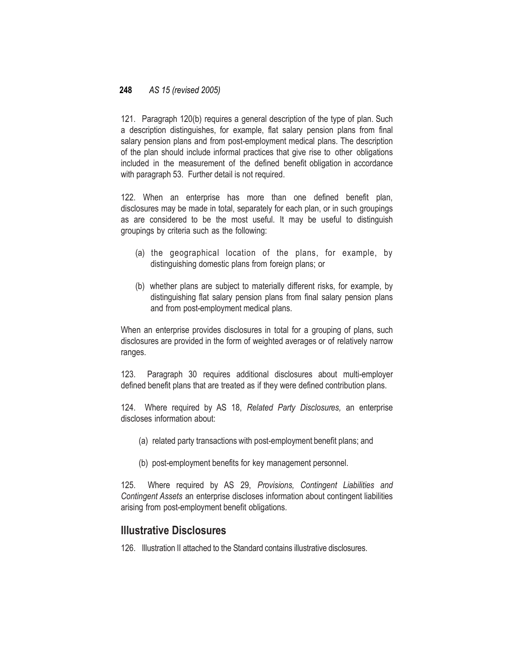121. Paragraph 120(b) requires a general description of the type of plan. Such a description distinguishes, for example, flat salary pension plans from final salary pension plans and from post-employment medical plans. The description of the plan should include informal practices that give rise to other obligations included in the measurement of the defined benefit obligation in accordance with paragraph 53. Further detail is not required.

122. When an enterprise has more than one defined benefit plan, disclosures may be made in total, separately for each plan, or in such groupings as are considered to be the most useful. It may be useful to distinguish groupings by criteria such as the following:

- (a) the geographical location of the plans, for example, by distinguishing domestic plans from foreign plans; or
- (b) whether plans are subject to materially different risks, for example, by distinguishing flat salary pension plans from final salary pension plans and from post-employment medical plans.

When an enterprise provides disclosures in total for a grouping of plans, such disclosures are provided in the form of weighted averages or of relatively narrow ranges.

123. Paragraph 30 requires additional disclosures about multi-employer defined benefit plans that are treated as if they were defined contribution plans.

124. Where required by AS 18, *Related Party Disclosures,* an enterprise discloses information about:

- (a) related party transactions with post-employment benefit plans; and
- (b) post-employment benefits for key management personnel.

125. Where required by AS 29, *Provisions, Contingent Liabilities and Contingent Assets* an enterprise discloses information about contingent liabilities arising from post-employment benefit obligations.

### **Illustrative Disclosures**

126. Illustration II attached to the Standard contains illustrative disclosures.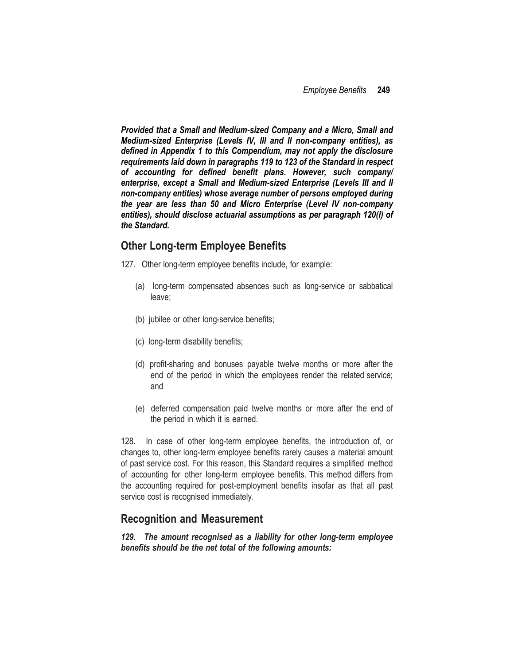*Provided that a Small and Medium-sized Company and a Micro, Small and Medium-sized Enterprise (Levels IV, III and II non-company entities), as defined in Appendix 1 to this Compendium, may not apply the disclosure requirements laid down in paragraphs 119 to 123 of the Standard in respect of accounting for defined benefit plans. However, such company/ enterprise, except a Small and Medium-sized Enterprise (Levels III and II non-company entities) whose average number of persons employed during the year are less than 50 and Micro Enterprise (Level IV non-company entities), should disclose actuarial assumptions as per paragraph 120(l) of the Standard.*

## **Other Long-term Employee Benefits**

- 127. Other long-term employee benefits include, for example:
	- (a) long-term compensated absences such as long-service or sabbatical leave;
	- (b) jubilee or other long-service benefits;
	- (c) long-term disability benefits;
	- (d) profit-sharing and bonuses payable twelve months or more after the end of the period in which the employees render the related service; and
	- (e) deferred compensation paid twelve months or more after the end of the period in which it is earned.

128. In case of other long-term employee benefits, the introduction of, or changes to, other long-term employee benefits rarely causes a material amount of past service cost. For this reason, this Standard requires a simplified method of accounting for other long-term employee benefits. This method differs from the accounting required for post-employment benefits insofar as that all past service cost is recognised immediately.

## **Recognition and Measurement**

*129. The amount recognised as a liability for other long-term employee benefits should be the net total of the following amounts:*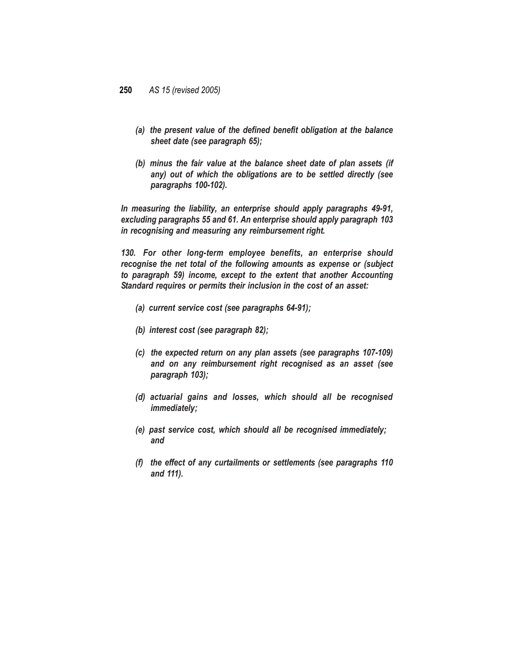- *(a) the present value of the defined benefit obligation at the balance sheet date (see paragraph 65);*
- *(b) minus the fair value at the balance sheet date of plan assets (if any) out of which the obligations are to be settled directly (see paragraphs 100-102).*

*In measuring the liability, an enterprise should apply paragraphs 49-91, excluding paragraphs 55 and 61. An enterprise should apply paragraph 103 in recognising and measuring any reimbursement right.*

*130. For other long-term employee benefits, an enterprise should recognise the net total of the following amounts as expense or (subject to paragraph 59) income, except to the extent that another Accounting Standard requires or permits their inclusion in the cost of an asset:*

- *(a) current service cost (see paragraphs 64-91);*
- *(b) interest cost (see paragraph 82);*
- *(c) the expected return on any plan assets (see paragraphs 107-109) and on any reimbursement right recognised as an asset (see paragraph 103);*
- *(d) actuarial gains and losses, which should all be recognised immediately;*
- *(e) past service cost, which should all be recognised immediately; and*
- *(f) the effect of any curtailments or settlements (see paragraphs 110 and 111).*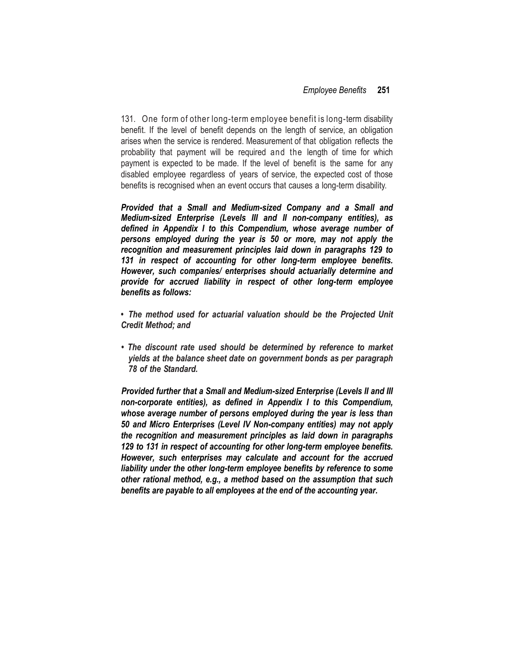131. One form of other long-term employee benefit is long-term disability benefit. If the level of benefit depends on the length of service, an obligation arises when the service is rendered. Measurement of that obligation reflects the probability that payment will be required and the length of time for which payment is expected to be made. If the level of benefit is the same for any disabled employee regardless of years of service, the expected cost of those benefits is recognised when an event occurs that causes a long-term disability.

*Provided that a Small and Medium-sized Company and a Small and Medium-sized Enterprise (Levels III and II non-company entities), as defined in Appendix I to this Compendium, whose average number of persons employed during the year is 50 or more, may not apply the recognition and measurement principles laid down in paragraphs 129 to 131 in respect of accounting for other long-term employee benefits. However, such companies/ enterprises should actuarially determine and provide for accrued liability in respect of other long-term employee benefits as follows:*

*• The method used for actuarial valuation should be the Projected Unit Credit Method; and*

*• The discount rate used should be determined by reference to market yields at the balance sheet date on government bonds as per paragraph 78 of the Standard.*

*Provided further that a Small and Medium-sized Enterprise (Levels II and III non-corporate entities), as defined in Appendix I to this Compendium, whose average number of persons employed during the year is less than 50 and Micro Enterprises (Level IV Non-company entities) may not apply the recognition and measurement principles as laid down in paragraphs 129 to 131 in respect of accounting for other long-term employee benefits. However, such enterprises may calculate and account for the accrued liability under the other long-term employee benefits by reference to some other rational method, e.g., a method based on the assumption that such benefits are payable to all employees at the end of the accounting year.*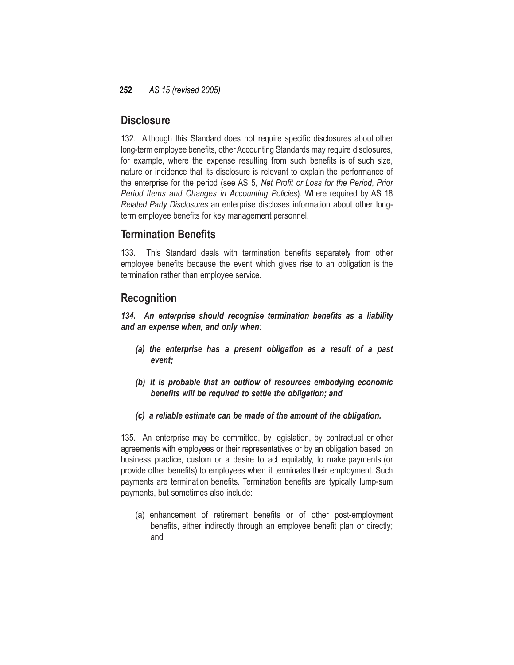## **Disclosure**

132. Although this Standard does not require specific disclosures about other long-term employee benefits, other Accounting Standards may require disclosures, for example, where the expense resulting from such benefits is of such size, nature or incidence that its disclosure is relevant to explain the performance of the enterprise for the period (see AS 5, *Net Profit or Loss for the Period, Prior Period Items and Changes in Accounting Policies*). Where required by AS 18 *Related Party Disclosures* an enterprise discloses information about other longterm employee benefits for key management personnel.

## **Termination Benefits**

133. This Standard deals with termination benefits separately from other employee benefits because the event which gives rise to an obligation is the termination rather than employee service.

## **Recognition**

*134. An enterprise should recognise termination benefits as a liability and an expense when, and only when:*

- *(a) the enterprise has a present obligation as a result of a past event;*
- *(b) it is probable that an outflow of resources embodying economic benefits will be required to settle the obligation; and*
- *(c) a reliable estimate can be made of the amount of the obligation.*

135. An enterprise may be committed, by legislation, by contractual or other agreements with employees or their representatives or by an obligation based on business practice, custom or a desire to act equitably, to make payments (or provide other benefits) to employees when it terminates their employment. Such payments are termination benefits. Termination benefits are typically lump-sum payments, but sometimes also include:

(a) enhancement of retirement benefits or of other post-employment benefits, either indirectly through an employee benefit plan or directly; and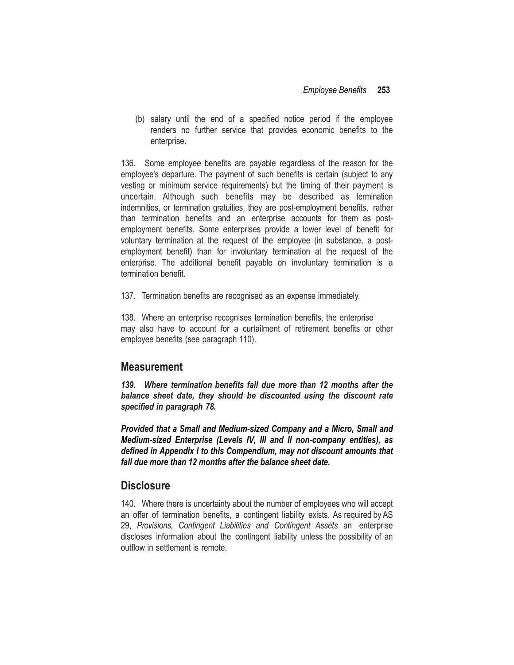(b) salary until the end of a specified notice period if the employee renders no further service that provides economic benefits to the enterprise.

136. Some employee benefits are payable regardless of the reason for the employee's departure. The payment of such benefits is certain (subject to any vesting or minimum service requirements) but the timing of their payment is uncertain. Although such benefits may be described as termination indemnities, or termination gratuities, they are post-employment benefits, rather than termination benefits and an enterprise accounts for them as postemployment benefits. Some enterprises provide a lower level of benefit for voluntary termination at the request of the employee (in substance, a postemployment benefit) than for involuntary termination at the request of the enterprise. The additional benefit payable on involuntary termination is a termination benefit.

137. Termination benefits are recognised as an expense immediately.

138. Where an enterprise recognises termination benefits, the enterprise may also have to account for a curtailment of retirement benefits or other employee benefits (see paragraph 110).

### **Measurement**

*139. Where termination benefits fall due more than 12 months after the balance sheet date, they should be discounted using the discount rate specified in paragraph 78.*

*Provided that a Small and Medium-sized Company and a Micro, Small and Medium-sized Enterprise (Levels IV, III and II non-company entities), as defined in Appendix I to this Compendium, may not discount amounts that fall due more than 12 months after the balance sheet date.*

### **Disclosure**

140. Where there is uncertainty about the number of employees who will accept an offer of termination benefits, a contingent liability exists. As required by AS 29, *Provisions, Contingent Liabilities and Contingent Assets* an enterprise discloses information about the contingent liability unless the possibility of an outflow in settlement is remote.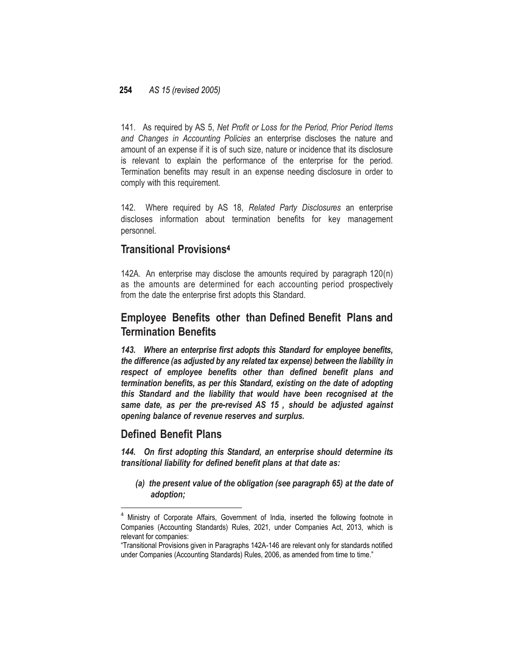141. As required by AS 5, *Net Profit or Loss for the Period, Prior Period Items and Changes in Accounting Policies* an enterprise discloses the nature and amount of an expense if it is of such size, nature or incidence that its disclosure is relevant to explain the performance of the enterprise for the period. Termination benefits may result in an expense needing disclosure in order to comply with this requirement.

142. Where required by AS 18, *Related Party Disclosures* an enterprise discloses information about termination benefits for key management personnel.

## **Transitional Provisions<sup>4</sup>**

142A. An enterprise may disclose the amounts required by paragraph 120(n) as the amounts are determined for each accounting period prospectively from the date the enterprise first adopts this Standard.

## **Employee Benefits other than Defined Benefit Plans and Termination Benefits**

*143. Where an enterprise first adopts this Standard for employee benefits, the difference (as adjusted by any related tax expense) between the liability in respect of employee benefits other than defined benefit plans and termination benefits, as per this Standard, existing on the date of adopting this Standard and the liability that would have been recognised at the same date, as per the pre-revised AS 15 , should be adjusted against opening balance of revenue reserves and surplus.*

### **Defined Benefit Plans**

l

*144. On first adopting this Standard, an enterprise should determine its transitional liability for defined benefit plans at that date as:*

*(a) the present value of the obligation (see paragraph 65) at the date of adoption;*

<sup>&</sup>lt;sup>4</sup> Ministry of Corporate Affairs, Government of India, inserted the following footnote in Companies (Accounting Standards) Rules, 2021, under Companies Act, 2013, which is relevant for companies:

<sup>&</sup>quot;Transitional Provisions given in Paragraphs 142A-146 are relevant only for standards notified under Companies (Accounting Standards) Rules, 2006, as amended from time to time."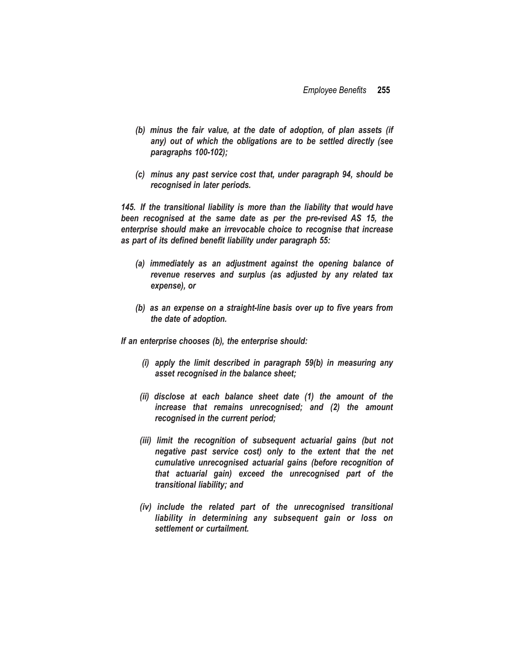- *(b) minus the fair value, at the date of adoption, of plan assets (if any) out of which the obligations are to be settled directly (see paragraphs 100-102);*
- *(c) minus any past service cost that, under paragraph 94, should be recognised in later periods.*

*145. If the transitional liability is more than the liability that would have been recognised at the same date as per the pre-revised AS 15, the enterprise should make an irrevocable choice to recognise that increase as part of its defined benefit liability under paragraph 55:*

- *(a) immediately as an adjustment against the opening balance of revenue reserves and surplus (as adjusted by any related tax expense), or*
- *(b) as an expense on a straight-line basis over up to five years from the date of adoption.*

*If an enterprise chooses (b), the enterprise should:*

- *(i) apply the limit described in paragraph 59(b) in measuring any asset recognised in the balance sheet;*
- *(ii) disclose at each balance sheet date (1) the amount of the increase that remains unrecognised; and (2) the amount recognised in the current period;*
- *(iii) limit the recognition of subsequent actuarial gains (but not negative past service cost) only to the extent that the net cumulative unrecognised actuarial gains (before recognition of that actuarial gain) exceed the unrecognised part of the transitional liability; and*
- *(iv) include the related part of the unrecognised transitional liability in determining any subsequent gain or loss on settlement or curtailment.*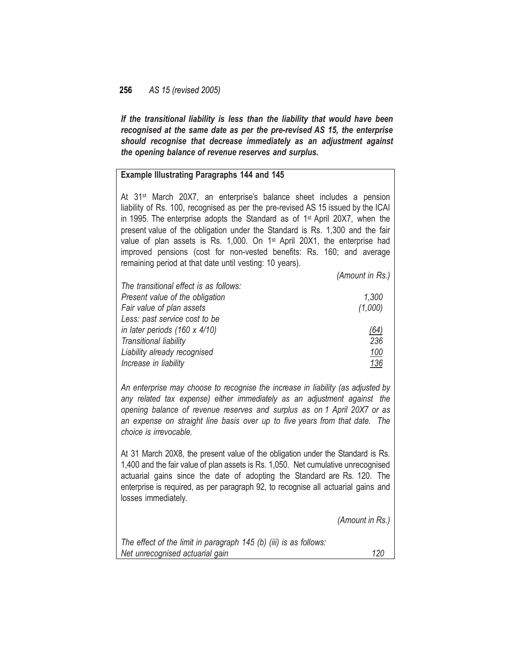*If the transitional liability is less than the liability that would have been recognised at the same date as per the pre-revised AS 15, the enterprise should recognise that decrease immediately as an adjustment against the opening balance of revenue reserves and surplus.*

#### **Example Illustrating Paragraphs 144 and 145**

At 31<sup>st</sup> March 20X7, an enterprise's balance sheet includes a pension liability of Rs. 100, recognised as per the pre-revised AS 15 issued by the ICAI in 1995. The enterprise adopts the Standard as of 1<sup>st</sup> April 20X7, when the present value of the obligation under the Standard is Rs. 1,300 and the fair value of plan assets is Rs. 1,000. On 1<sup>st</sup> April 20X1, the enterprise had improved pensions (cost for non-vested benefits: Rs. 160; and average remaining period at that date until vesting: 10 years).

|                                        | (Amount in Rs.) |
|----------------------------------------|-----------------|
| The transitional effect is as follows: |                 |
| Present value of the obligation        | 1,300           |
| Fair value of plan assets              | (1,000)         |
| Less: past service cost to be          |                 |
| in later periods (160 x 4/10)          | (64)            |
| Transitional liability                 | 236             |
| Liability already recognised           | 100             |
| Increase in liability                  | 136             |
|                                        |                 |

*An enterprise may choose to recognise the increase in liability (as adjusted by any related tax expense) either immediately as an adjustment against the opening balance of revenue reserves and surplus as on 1 April 20X7 or as an expense on straight line basis over up to five years from that date. The choice is irrevocable.*

At 31 March 20X8, the present value of the obligation under the Standard is Rs. 1,400 and the fair value of plan assets is Rs. 1,050. Net cumulative unrecognised actuarial gains since the date of adopting the Standard are Rs. 120. The enterprise is required, as per paragraph 92, to recognise all actuarial gains and losses immediately.

*(Amount in Rs.)*

*The effect of the limit in paragraph 145 (b) (iii) is as follows: Net unrecognised actuarial gain 120*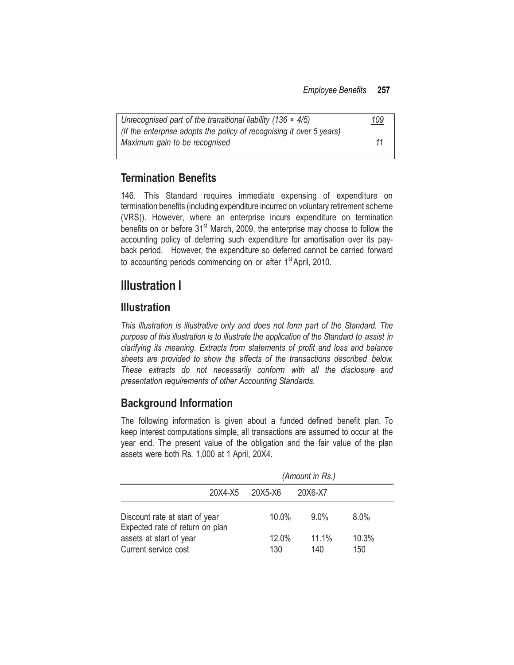| Unrecognised part of the transitional liability (136 $\times$ 4/5)   | <u> 109</u> |
|----------------------------------------------------------------------|-------------|
| (If the enterprise adopts the policy of recognising it over 5 years) |             |
| Maximum gain to be recognised                                        | 11          |

## **Termination Benefits**

146. This Standard requires immediate expensing of expenditure on termination benefits (including expenditure incurred on voluntary retirement scheme (VRS)). However, where an enterprise incurs expenditure on termination benefits on or before  $31<sup>st</sup>$  March, 2009, the enterprise may choose to follow the accounting policy of deferring such expenditure for amortisation over its payback period. However, the expenditure so deferred cannot be carried forward to accounting periods commencing on or after 1<sup>st</sup> April, 2010.

# **Illustration I**

## **Illustration**

*This illustration is illustrative only and does not form part of the Standard. The purpose of this illustration is to illustrate the application of the Standard to assist in clarifying its meaning. Extracts from statements of profit and loss and balance sheets are provided to show the effects of the transactions described below. These extracts do not necessarily conform with all the disclosure and presentation requirements of other Accounting Standards.*

# **Background Information**

The following information is given about a funded defined benefit plan. To keep interest computations simple, all transactions are assumed to occur at the year end. The present value of the obligation and the fair value of the plan assets were both Rs. 1,000 at 1 April, 20X4.

|                                                                   | (Amount in Rs.) |         |         |  |
|-------------------------------------------------------------------|-----------------|---------|---------|--|
| 20X4-X5                                                           | 20X5-X6         | 20X6-X7 |         |  |
| Discount rate at start of year<br>Expected rate of return on plan | 10.0%           | $9.0\%$ | $8.0\%$ |  |
| assets at start of year                                           | 12.0%           | 11.1%   | 10.3%   |  |
| Current service cost                                              | 130             | 140     | 150     |  |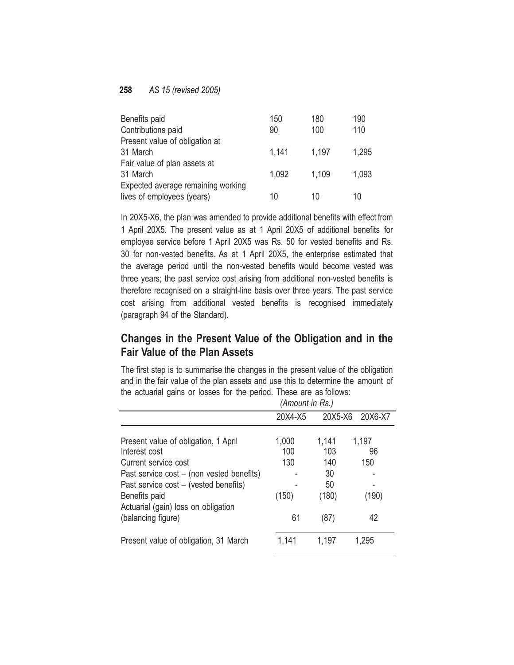| Benefits paid                      | 150   | 180   | 190   |
|------------------------------------|-------|-------|-------|
| Contributions paid                 | 90    | 100   | 110   |
| Present value of obligation at     |       |       |       |
| 31 March                           | 1,141 | 1.197 | 1,295 |
| Fair value of plan assets at       |       |       |       |
| 31 March                           | 1,092 | 1,109 | 1,093 |
| Expected average remaining working |       |       |       |
| lives of employees (years)         | 10    | 10    | 10    |

In 20X5-X6, the plan was amended to provide additional benefits with effect from 1 April 20X5. The present value as at 1 April 20X5 of additional benefits for employee service before 1 April 20X5 was Rs. 50 for vested benefits and Rs. 30 for non-vested benefits. As at 1 April 20X5, the enterprise estimated that the average period until the non-vested benefits would become vested was three years; the past service cost arising from additional non-vested benefits is therefore recognised on a straight-line basis over three years. The past service cost arising from additional vested benefits is recognised immediately (paragraph 94 of the Standard).

## **Changes in the Present Value of the Obligation and in the Fair Value of the Plan Assets**

The first step is to summarise the changes in the present value of the obligation and in the fair value of the plan assets and use this to determine the amount of the actuarial gains or losses for the period. These are as follows:

|                                                      | (Amount in Rs.) |         |         |
|------------------------------------------------------|-----------------|---------|---------|
|                                                      | 20X4-X5         | 20X5-X6 | 20X6-X7 |
| Present value of obligation, 1 April                 | 1,000           | 1,141   | 1,197   |
| Interest cost                                        | 100             | 103     | 96      |
| Current service cost                                 | 130             | 140     | 150     |
| Past service cost – (non vested benefits)            |                 | 30      |         |
| Past service cost - (vested benefits)                |                 | 50      |         |
| Benefits paid<br>Actuarial (gain) loss on obligation | (150)           | (180)   | (190)   |
| (balancing figure)                                   | 61              | (87)    | 42      |
| Present value of obligation, 31 March                | 1,141           | 1,197   | 1,295   |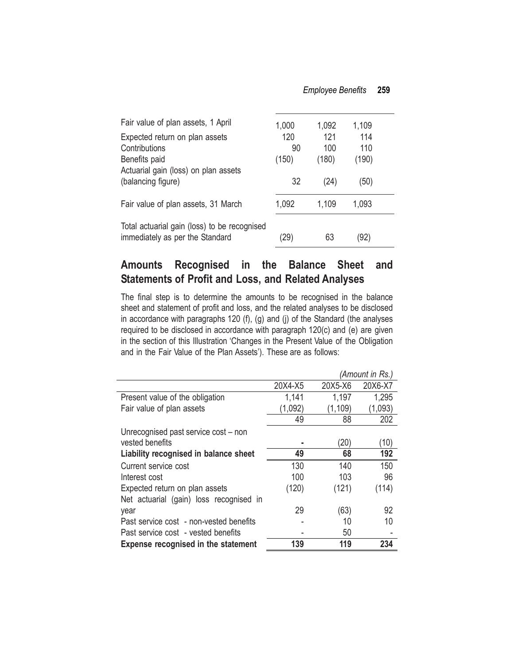| Fair value of plan assets, 1 April                                              | 1,000 | 1,092 | 1,109 |  |
|---------------------------------------------------------------------------------|-------|-------|-------|--|
| Expected return on plan assets                                                  | 120   | 121   | 114   |  |
| Contributions                                                                   | 90    | 100   | 110   |  |
| Benefits paid                                                                   | (150) | (180) | (190) |  |
| Actuarial gain (loss) on plan assets                                            |       |       |       |  |
| (balancing figure)                                                              | 32    | (24)  | (50)  |  |
| Fair value of plan assets, 31 March                                             | 1,092 | 1,109 | 1,093 |  |
| Total actuarial gain (loss) to be recognised<br>immediately as per the Standard | 29)   | 63    | '92)  |  |

## **Amounts Recognised in the Balance Sheet and Statements of Profit and Loss, and Related Analyses**

The final step is to determine the amounts to be recognised in the balance sheet and statement of profit and loss, and the related analyses to be disclosed in accordance with paragraphs 120 (f), (g) and (j) of the Standard (the analyses required to be disclosed in accordance with paragraph 120(c) and (e) are given in the section of this Illustration 'Changes in the Present Value of the Obligation and in the Fair Value of the Plan Assets'). These are as follows:

|                                            |         |          | (Amount in Rs.) |
|--------------------------------------------|---------|----------|-----------------|
|                                            | 20X4-X5 | 20X5-X6  | 20X6-X7         |
| Present value of the obligation            | 1,141   | 1,197    | 1,295           |
| Fair value of plan assets                  | (1,092) | (1, 109) | (1,093)         |
|                                            | 49      | 88       | 202             |
| Unrecognised past service cost – non       |         |          |                 |
| vested benefits                            |         | (20)     | (10)            |
| Liability recognised in balance sheet      | 49      | 68       | 192             |
| Current service cost                       | 130     | 140      | 150             |
| Interest cost                              | 100     | 103      | 96              |
| Expected return on plan assets             | (120)   | (121)    | (114)           |
| Net actuarial (gain) loss recognised in    |         |          |                 |
| year                                       | 29      | (63)     | 92              |
| Past service cost - non-vested benefits    |         | 10       | 10              |
| Past service cost - vested benefits        |         | 50       |                 |
| <b>Expense recognised in the statement</b> | 139     | 119      | 234             |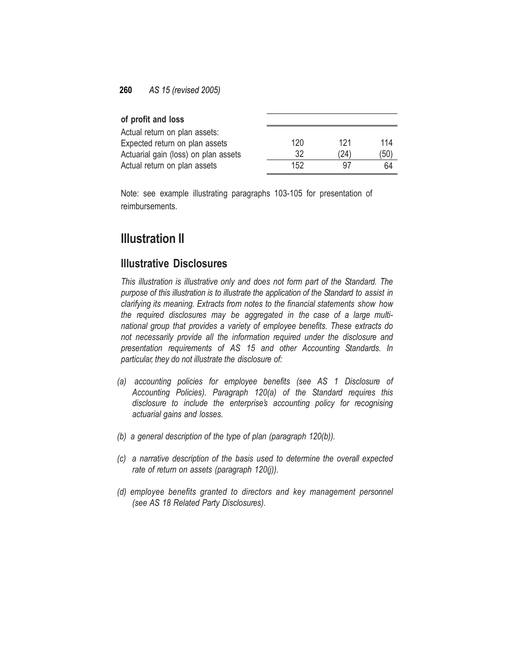| of profit and loss                   |     |      |      |
|--------------------------------------|-----|------|------|
| Actual return on plan assets:        |     |      |      |
| Expected return on plan assets       | 120 | 121  | 114  |
| Actuarial gain (loss) on plan assets | 32  | (24) | (50) |
| Actual return on plan assets         | 152 | 97   | 64   |

Note: see example illustrating paragraphs 103-105 for presentation of reimbursements.

# **Illustration II**

### **Illustrative Disclosures**

*This illustration is illustrative only and does not form part of the Standard. The purpose of this illustration is to illustrate the application of the Standard to assist in clarifying its meaning. Extracts from notes to the financial statements show how the required disclosures may be aggregated in the case of a large multinational group that provides a variety of employee benefits. These extracts do not necessarily provide all the information required under the disclosure and presentation requirements of AS 15 and other Accounting Standards. In particular, they do not illustrate the disclosure of:*

- *(a) accounting policies for employee benefits (see AS 1 Disclosure of Accounting Policies). Paragraph 120(a) of the Standard requires this disclosure to include the enterprise's accounting policy for recognising actuarial gains and losses.*
- *(b) a general description of the type of plan (paragraph 120(b)).*
- *(c) a narrative description of the basis used to determine the overall expected rate of return on assets (paragraph 120(j)).*
- *(d) employee benefits granted to directors and key management personnel (see AS 18 Related Party Disclosures).*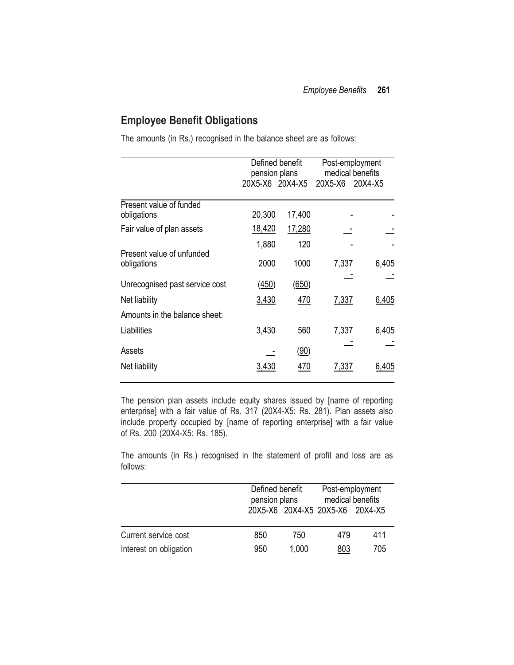## **Employee Benefit Obligations**

The amounts (in Rs.) recognised in the balance sheet are as follows:

|                                          | pension plans   | Defined benefit |         | Post-employment<br>medical benefits |
|------------------------------------------|-----------------|-----------------|---------|-------------------------------------|
|                                          | 20X5-X6 20X4-X5 |                 | 20X5-X6 | 20X4-X5                             |
| Present value of funded<br>obligations   | 20,300          | 17,400          |         |                                     |
| Fair value of plan assets                | 18,420          | 17,280          |         |                                     |
|                                          | 1,880           | 120             |         |                                     |
| Present value of unfunded<br>obligations | 2000            | 1000            | 7,337   | 6,405                               |
| Unrecognised past service cost           | (450)           | (650)           |         |                                     |
| Net liability                            | 3,430           | 470             | 7,337   | 6,405                               |
| Amounts in the balance sheet:            |                 |                 |         |                                     |
| Liabilities                              | 3,430           | 560             | 7,337   | 6,405                               |
| Assets                                   |                 | (90)            |         |                                     |
| Net liability                            | 3,430           | 470             | 7,337   | 6,405                               |

The pension plan assets include equity shares issued by [name of reporting enterprise] with a fair value of Rs. 317 (20X4-X5: Rs. 281). Plan assets also include property occupied by [name of reporting enterprise] with a fair value of Rs. 200 (20X4-X5: Rs. 185).

The amounts (in Rs.) recognised in the statement of profit and loss are as follows:

|                        | Defined benefit<br>pension plans |       | Post-employment<br>medical benefits<br>20X5-X6 20X4-X5 20X5-X6 20X4-X5 |     |
|------------------------|----------------------------------|-------|------------------------------------------------------------------------|-----|
| Current service cost   | 850                              | 750   | 479                                                                    | 411 |
| Interest on obligation | 950                              | 1,000 | <u>803</u>                                                             | 705 |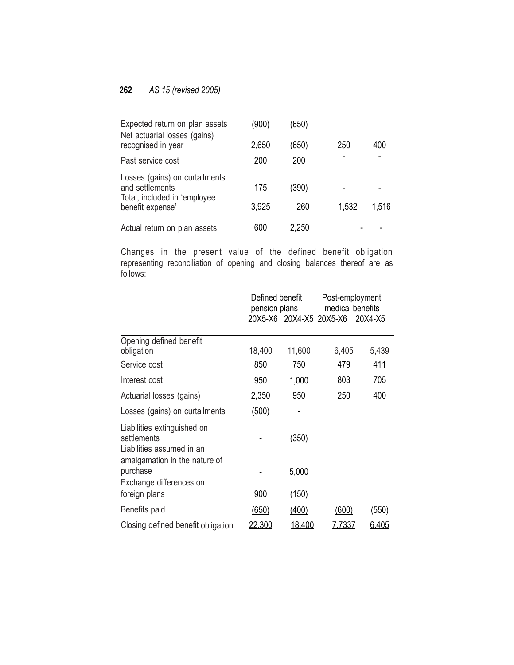| Expected return on plan assets<br>Net actuarial losses (gains)                    | (900) | (650) |       |       |
|-----------------------------------------------------------------------------------|-------|-------|-------|-------|
| recognised in year                                                                | 2,650 | (650) | 250   | 400   |
| Past service cost                                                                 | 200   | 200   |       |       |
| Losses (gains) on curtailments<br>and settlements<br>Total, included in 'employee | 175   | (390) |       |       |
| benefit expense'                                                                  | 3,925 | 260   | 1,532 | 1,516 |
| Actual return on plan assets                                                      | 600   | 2,250 |       |       |

Changes in the present value of the defined benefit obligation representing reconciliation of opening and closing balances thereof are as follows:

|                                                                                                          | Defined benefit<br>pension plans |        | Post-employment<br>medical benefits |              |
|----------------------------------------------------------------------------------------------------------|----------------------------------|--------|-------------------------------------|--------------|
|                                                                                                          |                                  |        | 20X5-X6 20X4-X5 20X5-X6 20X4-X5     |              |
| Opening defined benefit<br>obligation                                                                    | 18,400                           | 11,600 | 6,405                               | 5,439        |
| Service cost                                                                                             | 850                              | 750    | 479                                 | 411          |
| Interest cost                                                                                            | 950                              | 1,000  | 803                                 | 705          |
| Actuarial losses (gains)                                                                                 | 2,350                            | 950    | 250                                 | 400          |
| Losses (gains) on curtailments                                                                           | (500)                            |        |                                     |              |
| Liabilities extinguished on<br>settlements<br>Liabilities assumed in an<br>amalgamation in the nature of |                                  | (350)  |                                     |              |
| purchase<br>Exchange differences on                                                                      |                                  | 5,000  |                                     |              |
| foreign plans                                                                                            | 900                              | (150)  |                                     |              |
| Benefits paid                                                                                            | (650)                            | (400)  | (600)                               | (550)        |
| Closing defined benefit obligation                                                                       | <u>22,300</u>                    | 18,400 | <u>7,7337</u>                       | <u>6,405</u> |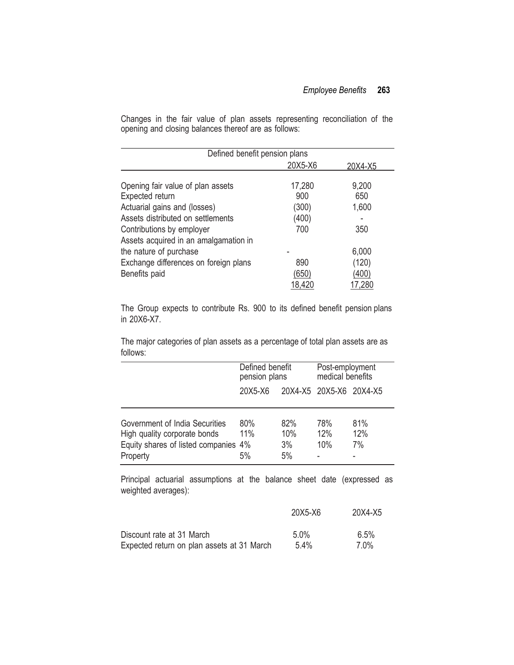Changes in the fair value of plan assets representing reconciliation of the opening and closing balances thereof are as follows:

| Defined benefit pension plans         |         |         |
|---------------------------------------|---------|---------|
|                                       | 20X5-X6 | 20X4-X5 |
|                                       |         |         |
| Opening fair value of plan assets     | 17,280  | 9,200   |
| Expected return                       | 900     | 650     |
| Actuarial gains and (losses)          | (300)   | 1,600   |
| Assets distributed on settlements     | (400)   |         |
| Contributions by employer             | 700     | 350     |
| Assets acquired in an amalgamation in |         |         |
| the nature of purchase                |         | 6,000   |
| Exchange differences on foreign plans | 890     | (120)   |
| Benefits paid                         | (650)   | (400)   |
|                                       | 18,420  | 17,280  |

The Group expects to contribute Rs. 900 to its defined benefit pension plans in 20X6-X7.

The major categories of plan assets as a percentage of total plan assets are as follows:

|                                                                                                                    | Defined benefit<br>pension plans |                        | Post-employment<br>medical benefits |                  |
|--------------------------------------------------------------------------------------------------------------------|----------------------------------|------------------------|-------------------------------------|------------------|
|                                                                                                                    | 20X5-X6                          |                        | 20X4-X5 20X5-X6 20X4-X5             |                  |
| Government of India Securities<br>High quality corporate bonds<br>Equity shares of listed companies 4%<br>Property | 80%<br>11%<br>5%                 | 82%<br>10%<br>3%<br>5% | 78%<br>12%<br>10%                   | 81%<br>12%<br>7% |

Principal actuarial assumptions at the balance sheet date (expressed as weighted averages):

|                                            | 20X5-X6 | 20X4-X5 |
|--------------------------------------------|---------|---------|
| Discount rate at 31 March                  | $5.0\%$ | 6.5%    |
| Expected return on plan assets at 31 March | 5.4%    | 7 በ%    |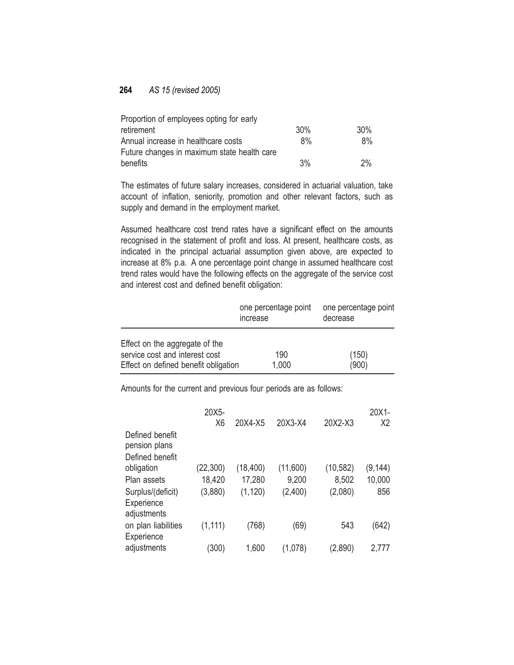| Proportion of employees opting for early    |     |       |
|---------------------------------------------|-----|-------|
| retirement                                  | 30% | 30%   |
| Annual increase in healthcare costs         | 8%  | $8\%$ |
| Future changes in maximum state health care |     |       |
| benefits                                    | 3%  | 2%    |

The estimates of future salary increases, considered in actuarial valuation, take account of inflation, seniority, promotion and other relevant factors, such as supply and demand in the employment market.

Assumed healthcare cost trend rates have a significant effect on the amounts recognised in the statement of profit and loss. At present, healthcare costs, as indicated in the principal actuarial assumption given above, are expected to increase at 8% p.a. A one percentage point change in assumed healthcare cost trend rates would have the following effects on the aggregate of the service cost and interest cost and defined benefit obligation:

|                                                                                                          | one percentage point<br>increase | one percentage point<br>decrease |
|----------------------------------------------------------------------------------------------------------|----------------------------------|----------------------------------|
| Effect on the aggregate of the<br>service cost and interest cost<br>Effect on defined benefit obligation | 190<br>1,000                     | (150)<br>(900)                   |

Amounts for the current and previous four periods are as follows:

|                                                     | 20X5-<br>X <sub>6</sub> | 20X4-X5   | 20X3-X4  | 20X2-X3   | 20X1-<br>Х2 |
|-----------------------------------------------------|-------------------------|-----------|----------|-----------|-------------|
| Defined benefit<br>pension plans<br>Defined benefit |                         |           |          |           |             |
| obligation                                          | (22, 300)               | (18, 400) | (11,600) | (10, 582) | (9,144)     |
| Plan assets                                         | 18,420                  | 17,280    | 9,200    | 8,502     | 10,000      |
| Surplus/(deficit)<br>Experience<br>adjustments      | (3,880)                 | (1, 120)  | (2,400)  | (2,080)   | 856         |
| on plan liabilities<br>Experience                   | (1, 111)                | (768)     | (69)     | 543       | (642)       |
| adjustments                                         | (300)                   | 1,600     | (1,078)  | (2,890)   | 2,777       |